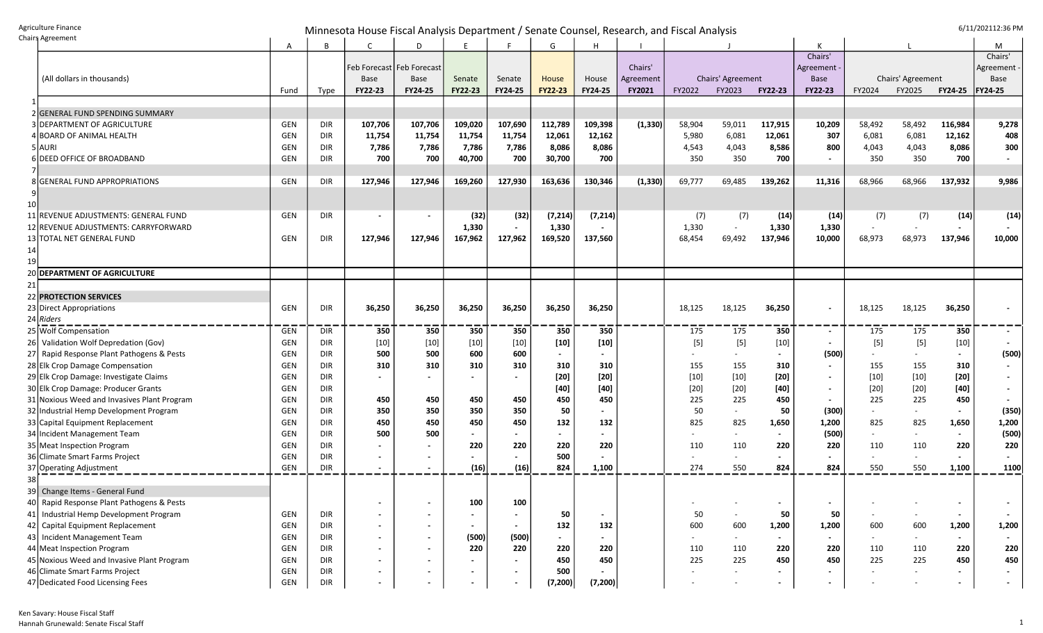Agriculture Finance<br>Chairs Agreement

Chairs Agreement Minnesota House Fiscal Analysis Department / Senate Counsel, Research, and Fiscal Analysis 6/11/202112:36 PM

| hairs Agreement                                                                     | A          | В          | C                           | D                        | E       |                | G              | н              |           |        |                          |                |                |                          |                   |                          | М              |
|-------------------------------------------------------------------------------------|------------|------------|-----------------------------|--------------------------|---------|----------------|----------------|----------------|-----------|--------|--------------------------|----------------|----------------|--------------------------|-------------------|--------------------------|----------------|
|                                                                                     |            |            |                             |                          |         |                |                |                |           |        |                          |                | Chairs'        |                          |                   |                          | Chairs'        |
|                                                                                     |            |            | Feb Forecast   Feb Forecast |                          |         |                |                |                | Chairs'   |        |                          |                | Agreement      |                          |                   |                          | Agreement      |
| (All dollars in thousands)                                                          |            |            | <b>Base</b>                 | Base                     | Senate  | Senate         | House          | House          | Agreement |        | Chairs' Agreement        |                | <b>Base</b>    |                          | Chairs' Agreement |                          | Base           |
|                                                                                     | Fund       | Type       | FY22-23                     | FY24-25                  | FY22-23 | FY24-25        | <b>FY22-23</b> | <b>FY24-25</b> | FY2021    | FY2022 | FY2023                   | <b>FY22-23</b> | FY22-23        | FY2024                   | FY2025            | <b>FY24-25</b>           | <b>FY24-25</b> |
| 2 GENERAL FUND SPENDING SUMMARY                                                     |            |            |                             |                          |         |                |                |                |           |        |                          |                |                |                          |                   |                          |                |
| 3 DEPARTMENT OF AGRICULTURE                                                         | GEN        | DIR        | 107,706                     | 107,706                  | 109,020 | 107,690        | 112,789        | 109,398        | (1, 330)  | 58,904 | 59,011                   | 117,915        | 10,209         | 58,492                   | 58,492            | 116,984                  | 9,278          |
| 4 BOARD OF ANIMAL HEALTH                                                            | <b>GEN</b> | DIR        | 11,754                      | 11,754                   | 11,754  | 11,754         | 12,061         | 12,162         |           | 5,980  | 6,081                    | 12,061         | 307            | 6,081                    | 6,081             | 12,162                   | 408            |
| 5 AURI                                                                              | GEN        | <b>DIR</b> | 7,786                       | 7,786                    | 7,786   | 7,786          | 8,086          | 8,086          |           | 4,543  | 4,043                    | 8,586          | 800            | 4,043                    | 4,043             | 8,086                    | 300            |
| 6 DEED OFFICE OF BROADBAND                                                          | <b>GEN</b> | DIR        | 700                         | 700                      | 40,700  | 700            | 30,700         | 700            |           | 350    | 350                      | 700            | $\blacksquare$ | 350                      | 350               | 700                      |                |
|                                                                                     |            |            |                             |                          |         |                |                |                |           |        |                          |                |                |                          |                   |                          |                |
| 8 GENERAL FUND APPROPRIATIONS                                                       | GEN        | <b>DIR</b> | 127,946                     | 127,946                  | 169,260 | 127,930        | 163,636        | 130,346        | (1, 330)  | 69,777 | 69,485                   | 139,262        | 11,316         | 68,966                   | 68,966            | 137,932                  | 9,986          |
|                                                                                     |            |            |                             |                          |         |                |                |                |           |        |                          |                |                |                          |                   |                          |                |
| 10                                                                                  |            |            |                             |                          |         |                |                |                |           |        |                          |                |                |                          |                   |                          |                |
| 11 REVENUE ADJUSTMENTS: GENERAL FUND                                                | GEN        | DIR        | $\overline{\phantom{a}}$    | $\overline{\phantom{a}}$ | (32)    | (32)           | (7, 214)       | (7, 214)       |           | (7)    | (7)                      | (14)           | (14)           | (7)                      | (7)               | (14)                     | (14)           |
| 12 REVENUE ADJUSTMENTS: CARRYFORWARD                                                |            |            |                             |                          | 1,330   |                | 1,330          |                |           | 1,330  |                          | 1,330          | 1,330          |                          |                   |                          |                |
| 13 TOTAL NET GENERAL FUND                                                           | GEN        | DIR        | 127,946                     | 127,946                  | 167,962 | 127,962        | 169,520        | 137,560        |           | 68,454 | 69,492                   | 137,946        | 10,000         | 68,973                   | 68,973            | 137,946                  | 10,000         |
| 14                                                                                  |            |            |                             |                          |         |                |                |                |           |        |                          |                |                |                          |                   |                          |                |
| 20 DEPARTMENT OF AGRICULTURE                                                        |            |            |                             |                          |         |                |                |                |           |        |                          |                |                |                          |                   |                          |                |
| 21                                                                                  |            |            |                             |                          |         |                |                |                |           |        |                          |                |                |                          |                   |                          |                |
| 22 PROTECTION SERVICES                                                              |            |            |                             |                          |         |                |                |                |           |        |                          |                |                |                          |                   |                          |                |
| 23 Direct Appropriations                                                            | GEN        | DIR        | 36,250                      | 36,250                   | 36,250  | 36,250         | 36,250         | 36,250         |           | 18,125 | 18,125                   | 36,250         | $\blacksquare$ | 18,125                   | 18,125            | 36,250                   |                |
| 24 Riders                                                                           |            |            |                             |                          |         |                |                |                |           |        |                          |                |                |                          |                   |                          |                |
| 25 Wolf Compensation                                                                | GEN        | DIR        | 350                         | 350                      | 350     | 350            | 350            | 350            |           | 175    | 175                      | 350            | $\sim$         | 175                      | 175               | 350                      |                |
| Validation Wolf Depredation (Gov)<br><b>26</b>                                      | <b>GEN</b> | DIR        | $[10]$                      | $[10]$                   | $[10]$  | $[10]$         | $[10]$         | $[10]$         |           | $[5]$  | $[5]$                    | $[10]$         | $\sim$         | $[5]$                    | $[5]$             | $[10]$                   |                |
| 27 Rapid Response Plant Pathogens & Pests                                           | <b>GEN</b> | DIR        | 500                         | 500                      | 600     | 600            | $\sim$         |                |           |        |                          |                | (500)          |                          |                   | $\sim$                   | (500)          |
| 28 Elk Crop Damage Compensation                                                     | <b>GEN</b> | DIR        | 310                         | 310                      | 310     | 310            | 310            | 310            |           | 155    | 155                      | 310            | $\sim$         | 155                      | 155               | 310                      |                |
| 29 Elk Crop Damage: Investigate Claims                                              | <b>GEN</b> | <b>DIR</b> |                             | $\blacksquare$           |         |                | $[20]$         | $[20]$         |           | $[10]$ | $[10]$                   | $[20]$         | $\blacksquare$ | $[10]$                   | $[10]$            | $[20]$                   |                |
| 30 Elk Crop Damage: Producer Grants                                                 | <b>GEN</b> | <b>DIR</b> |                             |                          |         |                | $[40]$         | $[40]$         |           | $[20]$ | $[20]$                   | $[40]$         | $\blacksquare$ | $[20]$                   | $[20]$            | $[40]$                   |                |
| 31 Noxious Weed and Invasives Plant Program                                         | <b>GEN</b> | <b>DIR</b> | 450                         | 450                      | 450     | 450            | 450            | 450            |           | 225    | 225                      | 450            | $\sim$         | 225                      | 225               | 450                      |                |
| 32 Industrial Hemp Development Program                                              | <b>GEN</b> | <b>DIR</b> | 350                         | 350                      | 350     | 350            | 50             |                |           | 50     |                          | 50             | (300)          | $\overline{\phantom{a}}$ |                   | $\blacksquare$           | (350)          |
| 33 Capital Equipment Replacement                                                    | <b>GEN</b> | <b>DIR</b> | 450                         | 450                      | 450     | 450            | 132            | 132            |           | 825    | 825                      | 1,650          | 1,200          | 825                      | 825               | 1,650                    | 1,200          |
| 34 Incident Management Team                                                         | <b>GEN</b> | DIR        | 500                         | 500                      |         |                |                |                |           |        |                          |                | (500)          |                          |                   | $\overline{\phantom{a}}$ | (500)          |
| 35 Meat Inspection Program                                                          | <b>GEN</b> | <b>DIR</b> |                             | $\sim$                   | 220     | 220            | 220            | 220            |           | 110    | 110                      | 220            | 220            | 110                      | 110               | 220                      | 220            |
| 36 Climate Smart Farms Project                                                      | <b>GEN</b> | <b>DIR</b> |                             |                          |         |                | 500            |                |           |        |                          | $\blacksquare$ | $\blacksquare$ |                          |                   | $\blacksquare$           |                |
| 37 Operating Adjustment                                                             | GEN        | DIR        |                             |                          | (16)    | (16)           | 824            | 1,100          |           | 274    | 550                      | 824            | 824            | 550                      | 550               | 1,100                    | 1100           |
| 38                                                                                  |            |            |                             |                          |         |                |                |                |           |        |                          |                |                |                          |                   |                          |                |
| 39 Change Items - General Fund                                                      |            |            |                             |                          |         |                |                |                |           |        |                          |                |                |                          |                   |                          |                |
| 40 Rapid Response Plant Pathogens & Pests<br>41 Industrial Hemp Development Program | GEN        | DIR        |                             |                          | 100     | 100            | 50             |                |           | 50     | $\overline{\phantom{a}}$ | 50             | 50             |                          |                   | $\overline{\phantom{a}}$ |                |
| 42 Capital Equipment Replacement                                                    | GEN        | <b>DIR</b> | $\overline{\phantom{a}}$    | $\blacksquare$           |         |                | 132            | 132            |           | 600    | 600                      | 1,200          | 1,200          | 600                      | 600               | 1,200                    | 1,200          |
| 43 Incident Management Team                                                         | GEN        | DIR        | $\overline{\phantom{a}}$    | $\blacksquare$           | (500)   | (500)          |                |                |           | $\sim$ |                          |                | $\sim$         |                          |                   | $\blacksquare$           |                |
| 44 Meat Inspection Program                                                          | GEN        | DIR        | $\sim$                      | $\blacksquare$           | 220     | 220            | 220            | 220            |           | 110    | 110                      | 220            | 220            | 110                      | 110               | 220                      | 220            |
| 45 Noxious Weed and Invasive Plant Program                                          | GEN        | <b>DIR</b> | $\sim$                      | $\blacksquare$           |         |                | 450            | 450            |           | 225    | 225                      | 450            | 450            | 225                      | 225               | 450                      | 450            |
| 46 Climate Smart Farms Project                                                      | GEN        | <b>DIR</b> | $\blacksquare$              | $\blacksquare$           |         | $\blacksquare$ | 500            |                |           |        |                          |                | $\blacksquare$ |                          |                   | $\blacksquare$           | $\blacksquare$ |
| 47 Dedicated Food Licensing Fees                                                    | <b>GEN</b> | DIR        |                             |                          |         |                | (7, 200)       | (7, 200)       |           |        |                          | $\blacksquare$ | $\blacksquare$ |                          |                   | $\blacksquare$           | $\sim$         |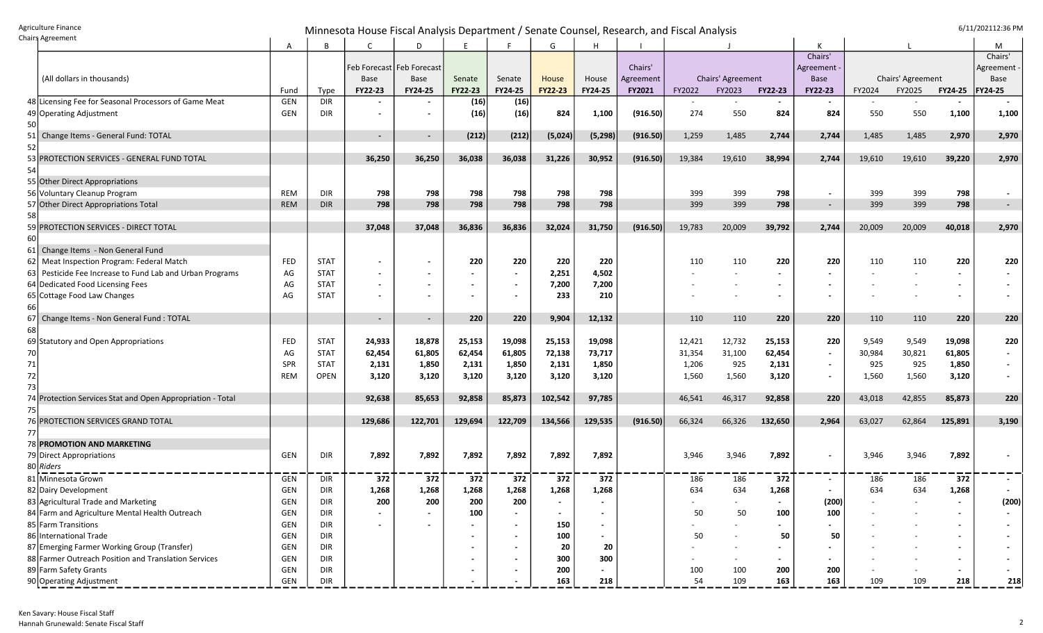Agriculture Finance **Example 2011** Minnesota House Fiscal Analysis Department / Senate Counsel, Research, and Fiscal Analysis **Agriculture Finance** 6/11/202112:36 PM

|    | ildii 4 Agreement                                       | A          | B           |                          | D                           | E              | Е                        | G       | Н        |           |        |                   |                          |                |        |                   |                          | М              |
|----|---------------------------------------------------------|------------|-------------|--------------------------|-----------------------------|----------------|--------------------------|---------|----------|-----------|--------|-------------------|--------------------------|----------------|--------|-------------------|--------------------------|----------------|
|    |                                                         |            |             |                          |                             |                |                          |         |          |           |        |                   |                          | Chairs'        |        |                   |                          | Chairs'        |
|    |                                                         |            |             |                          | Feb Forecast   Feb Forecast |                |                          |         |          | Chairs'   |        |                   |                          | Agreement      |        |                   |                          | Agreement      |
|    | (All dollars in thousands)                              |            |             | <b>Base</b>              | <b>Base</b>                 | Senate         | Senate                   | House   | House    | Agreement |        | Chairs' Agreement |                          | <b>Base</b>    |        | Chairs' Agreement |                          | Base           |
|    |                                                         | Fund       | Type        | FY22-23                  | FY24-25                     | <b>FY22-23</b> | <b>FY24-25</b>           | FY22-23 | FY24-25  | FY2021    | FY2022 | FY2023            | <b>FY22-23</b>           | <b>FY22-23</b> | FY2024 | FY2025            | <b>FY24-25</b>           | <b>FY24-25</b> |
|    | 48 Licensing Fee for Seasonal Processors of Game Meat   | GEN        | <b>DIR</b>  |                          | $\overline{\phantom{a}}$    | (16)           | (16)                     |         |          |           |        |                   |                          |                |        |                   |                          |                |
|    | 49 Operating Adjustment                                 | GEN        | <b>DIR</b>  |                          | $\blacksquare$              | (16)           | (16)                     | 824     | 1,100    | (916.50)  | 274    | 550               | 824                      | 824            | 550    | 550               | 1,100                    | 1,100          |
| 50 |                                                         |            |             |                          |                             |                |                          |         |          |           |        |                   |                          |                |        |                   |                          |                |
| 51 | Change Items - General Fund: TOTAL                      |            |             | $\overline{\phantom{a}}$ | $\blacksquare$              | (212)          | (212)                    | (5,024) | (5, 298) | (916.50)  | 1,259  | 1,485             | 2,744                    | 2,744          | 1,485  | 1,485             | 2,970                    | 2,970          |
| 52 |                                                         |            |             |                          |                             |                |                          |         |          |           |        |                   |                          |                |        |                   |                          |                |
| 53 | PROTECTION SERVICES - GENERAL FUND TOTAL                |            |             | 36,250                   | 36,250                      | 36,038         | 36,038                   | 31,226  | 30,952   | (916.50)  | 19,384 | 19,610            | 38,994                   | 2,744          | 19,610 | 19,610            | 39,220                   | 2,970          |
| 54 |                                                         |            |             |                          |                             |                |                          |         |          |           |        |                   |                          |                |        |                   |                          |                |
|    | 55 Other Direct Appropriations                          |            |             |                          |                             |                |                          |         |          |           |        |                   |                          |                |        |                   |                          |                |
|    | 56 Voluntary Cleanup Program                            | REM        | <b>DIR</b>  | 798                      | 798                         | 798            | 798                      | 798     | 798      |           | 399    | 399               | 798                      | $\blacksquare$ | 399    | 399               | 798                      | $\blacksquare$ |
| 57 | Other Direct Appropriations Total                       | <b>REM</b> | <b>DIR</b>  | 798                      | 798                         | 798            | 798                      | 798     | 798      |           | 399    | 399               | 798                      | $\sim$         | 399    | 399               | 798                      | $\blacksquare$ |
| 58 |                                                         |            |             |                          |                             |                |                          |         |          |           |        |                   |                          |                |        |                   |                          |                |
| 59 | PROTECTION SERVICES - DIRECT TOTAL                      |            |             | 37,048                   | 37,048                      | 36,836         | 36,836                   | 32,024  | 31,750   | (916.50)  | 19,783 | 20,009            | 39,792                   | 2,744          | 20,009 | 20,009            | 40,018                   | 2,970          |
| 60 |                                                         |            |             |                          |                             |                |                          |         |          |           |        |                   |                          |                |        |                   |                          |                |
| 61 | Change Items - Non General Fund                         |            |             |                          |                             |                |                          |         |          |           |        |                   |                          |                |        |                   |                          |                |
| 62 | Meat Inspection Program: Federal Match                  | <b>FED</b> | <b>STAT</b> |                          | $\blacksquare$              | 220            | 220                      | 220     | 220      |           | 110    | 110               | 220                      | 220            | 110    | 110               | 220                      | 220            |
| 63 | Pesticide Fee Increase to Fund Lab and Urban Programs   | AG         | <b>STAT</b> |                          |                             |                |                          | 2,251   | 4,502    |           |        |                   |                          |                |        |                   | $\overline{\phantom{0}}$ |                |
|    | 64 Dedicated Food Licensing Fees                        | AG         | <b>STAT</b> |                          | $\blacksquare$              |                | $\overline{\phantom{a}}$ | 7,200   | 7,200    |           |        |                   | $\overline{\phantom{a}}$ |                |        |                   | $\blacksquare$           |                |
|    | 65 Cottage Food Law Changes                             | AG         | <b>STAT</b> |                          | $\blacksquare$              |                |                          | 233     | 210      |           |        |                   | $\overline{\phantom{a}}$ | $\blacksquare$ |        |                   | $\blacksquare$           |                |
| 66 |                                                         |            |             |                          |                             |                |                          |         |          |           |        |                   |                          |                |        |                   |                          |                |
| 67 | Change Items - Non General Fund: TOTAL                  |            |             | $\sim$                   | $\blacksquare$              | 220            | 220                      | 9,904   | 12,132   |           | 110    | 110               | 220                      | 220            | 110    | 110               | 220                      | 220            |
| 68 |                                                         |            |             |                          |                             |                |                          |         |          |           |        |                   |                          |                |        |                   |                          |                |
|    | 69 Statutory and Open Appropriations                    | FED        | <b>STAT</b> | 24,933                   | 18,878                      | 25,153         | 19,098                   | 25,153  | 19,098   |           | 12,421 | 12,732            | 25,153                   | 220            | 9,549  | 9,549             | 19,098                   | 220            |
| 70 |                                                         | AG         | <b>STAT</b> | 62,454                   | 61,805                      | 62,454         | 61,805                   | 72,138  | 73,717   |           | 31,354 | 31,100            | 62,454                   | $\sim$         | 30,984 | 30,821            | 61,805                   | $\blacksquare$ |
| 71 |                                                         | <b>SPR</b> | <b>STAT</b> | 2,131                    | 1,850                       | 2,131          | 1,850                    | 2,131   | 1,850    |           | 1,206  | 925               | 2,131                    | $\blacksquare$ | 925    | 925               | 1,850                    | $\sim$         |
| 72 |                                                         | REM        | <b>OPEN</b> | 3,120                    | 3,120                       | 3,120          | 3,120                    | 3,120   | 3,120    |           | 1,560  | 1,560             | 3,120                    | $\sim$         | 1,560  | 1,560             | 3,120                    |                |
| 73 |                                                         |            |             |                          |                             |                |                          |         |          |           |        |                   |                          |                |        |                   |                          |                |
| 74 | Protection Services Stat and Open Appropriation - Total |            |             | 92,638                   | 85,653                      | 92,858         | 85,873                   | 102,542 | 97,785   |           | 46,541 | 46,317            | 92,858                   | 220            | 43,018 | 42,855            | 85,873                   | 220            |
| 75 |                                                         |            |             |                          |                             |                |                          |         |          |           |        |                   |                          |                |        |                   |                          |                |
|    | 76 PROTECTION SERVICES GRAND TOTAL                      |            |             | 129,686                  | 122,701                     | 129,694        | 122,709                  | 134,566 | 129,535  | (916.50)  | 66,324 | 66,326            | 132,650                  | 2,964          | 63,027 | 62,864            | 125,891                  | 3,190          |
| 77 |                                                         |            |             |                          |                             |                |                          |         |          |           |        |                   |                          |                |        |                   |                          |                |
|    | 78 PROMOTION AND MARKETING                              |            |             |                          |                             |                |                          |         |          |           |        |                   |                          |                |        |                   |                          |                |
|    | 79 Direct Appropriations                                | GEN        | DIR         | 7,892                    | 7,892                       | 7,892          | 7,892                    | 7,892   | 7,892    |           | 3,946  | 3,946             | 7,892                    | $\blacksquare$ | 3,946  | 3,946             | 7,892                    | $\blacksquare$ |
|    | 80 Riders                                               |            |             |                          |                             |                |                          |         |          |           |        |                   |                          |                |        |                   |                          |                |
|    | 81 Minnesota Grown                                      | GEN        | DIR         | 372                      | 372                         | 372            | 372                      | 372     | 372      |           | 186    | 186               | 372                      | $\blacksquare$ | 186    | 186               | 372                      |                |
|    | 82 Dairy Development                                    | <b>GEN</b> | DIR         | 1,268                    | 1,268                       | 1,268          | 1,268                    | 1,268   | 1,268    |           | 634    | 634               | 1,268                    | $\blacksquare$ | 634    | 634               | 1,268                    |                |
|    | 83 Agricultural Trade and Marketing                     | GEN        | <b>DIR</b>  | 200                      | 200                         | 200            | 200                      |         |          |           |        |                   |                          | 1200)          |        |                   |                          | (200)          |
|    | 84 Farm and Agriculture Mental Health Outreach          | GEN        | <b>DIR</b>  |                          |                             | 100            |                          |         |          |           | 50     | 50                | 100                      | 100            |        |                   |                          |                |
|    | 85 Farm Transitions                                     | GEN        | DIR         |                          |                             |                |                          | 150     |          |           |        |                   |                          |                |        |                   | $\overline{\phantom{a}}$ |                |
|    | 86 International Trade                                  | GEN        | DIR         |                          |                             |                |                          | 100     |          |           | 50     |                   | 50                       | 50             |        |                   | $\blacksquare$           |                |
|    | 87 Emerging Farmer Working Group (Transfer)             | GEN        | <b>DIR</b>  |                          |                             |                |                          | 20      | 20       |           |        |                   |                          |                |        |                   |                          |                |
|    | 88 Farmer Outreach Position and Translation Services    | GEN        | <b>DIR</b>  |                          |                             |                |                          | 300     | 300      |           |        |                   |                          |                |        |                   | $\blacksquare$           |                |
|    | 89 Farm Safety Grants                                   | GEN        | <b>DIR</b>  |                          |                             |                |                          | 200     |          |           | 100    | 100               | 200                      | 200            |        |                   | $\blacksquare$           |                |
|    | 90 Operating Adjustment                                 | GEN        | DIR         |                          |                             |                |                          | 163     | 218      |           | 54     | 109               | 163                      | 163            | 109    | 109               | 218                      | 218            |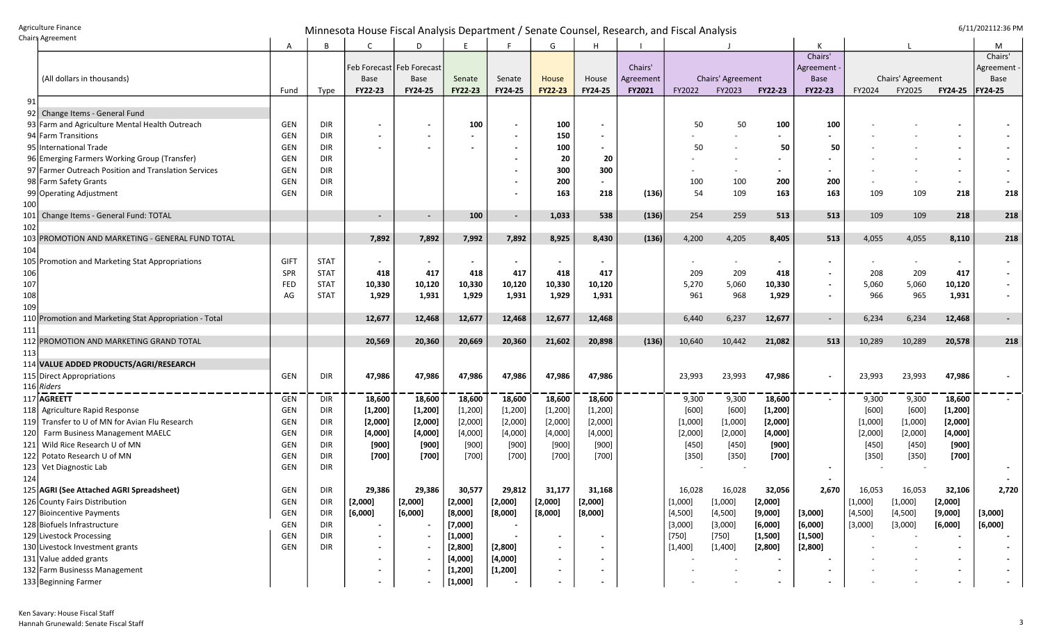## Agriculture Finance and the senate of the senate of the senate of the senate of the senate of the senate of the senate of the senate of the senate of the senate of the senate of the senate of the senate of the senate of th

|     | riang agreement                                        | A           | B           |                          | D                           | E               |                | G              |                          |           |         |                   |                |                          |         |                   |                | М           |
|-----|--------------------------------------------------------|-------------|-------------|--------------------------|-----------------------------|-----------------|----------------|----------------|--------------------------|-----------|---------|-------------------|----------------|--------------------------|---------|-------------------|----------------|-------------|
|     |                                                        |             |             |                          |                             |                 |                |                |                          |           |         |                   |                | Chairs'                  |         |                   |                | Chairs'     |
|     |                                                        |             |             |                          | Feb Forecast   Feb Forecast |                 |                |                |                          | Chairs'   |         |                   |                | Agreement                |         |                   |                | Agreement   |
|     | (All dollars in thousands)                             |             |             | Base                     | Base                        | Senate          | Senate         | House          | House                    | Agreement |         | Chairs' Agreement |                | <b>Base</b>              |         | Chairs' Agreement |                | <b>Base</b> |
|     |                                                        | Fund        | Type        | FY22-23                  | FY24-25                     | FY22-23         | FY24-25        | <b>FY22-23</b> | FY24-25                  | FY2021    | FY2022  | FY2023            | <b>FY22-23</b> | FY22-23                  | FY2024  | FY2025            | <b>FY24-25</b> | FY24-25     |
| 91  |                                                        |             |             |                          |                             |                 |                |                |                          |           |         |                   |                |                          |         |                   |                |             |
| 92  | Change Items - General Fund                            |             |             |                          |                             |                 |                |                |                          |           |         |                   |                |                          |         |                   |                |             |
|     | 93 Farm and Agriculture Mental Health Outreach         | <b>GEN</b>  | <b>DIR</b>  |                          | $\overline{\phantom{a}}$    | 100             |                | 100            | $\overline{\phantom{0}}$ |           | 50      | 50                | 100            | 100                      |         |                   |                |             |
|     | 94 Farm Transitions                                    | GEN         | <b>DIR</b>  |                          |                             |                 |                | 150            |                          |           |         |                   |                |                          |         |                   |                |             |
|     | 95 International Trade                                 | GEN         | <b>DIR</b>  |                          | $\overline{\phantom{a}}$    |                 | $\blacksquare$ | 100            |                          |           | 50      |                   | 50             | -50                      |         |                   |                |             |
|     | 96 Emerging Farmers Working Group (Transfer)           | <b>GEN</b>  | <b>DIR</b>  |                          |                             |                 |                | 20             | -20                      |           |         |                   |                |                          |         |                   |                |             |
|     | 97 Farmer Outreach Position and Translation Services   | GEN         | <b>DIR</b>  |                          |                             |                 |                | 300            | 300                      |           |         |                   |                |                          |         |                   |                |             |
|     | 98 Farm Safety Grants                                  | GEN         | <b>DIR</b>  |                          |                             |                 |                | 200            | $\blacksquare$           |           | 100     | 100               | 200            | 200                      |         |                   |                |             |
|     | 99 Operating Adjustment                                | GEN         | DIR         |                          |                             |                 |                | 163            | 218                      | (136)     | 54      | 109               | 163            | 163                      | 109     | 109               | 218            | 218         |
| 100 |                                                        |             |             |                          |                             |                 |                |                |                          |           |         |                   |                |                          |         |                   |                |             |
| 101 | Change Items - General Fund: TOTAL                     |             |             | $\overline{\phantom{a}}$ | $\sim$                      | 100             | $\blacksquare$ | 1,033          | 538                      | (136)     | 254     | 259               | 513            | 513                      | 109     | 109               | 218            | 218         |
| 102 |                                                        |             |             |                          |                             |                 |                |                |                          |           |         |                   |                |                          |         |                   |                |             |
|     | 103 PROMOTION AND MARKETING - GENERAL FUND TOTAL       |             |             | 7,892                    | 7,892                       | 7,992           | 7,892          | 8,925          | 8,430                    | (136)     | 4,200   | 4,205             | 8,405          | 513                      | 4,055   | 4,055             | 8,110          | 218         |
| 104 |                                                        |             |             |                          |                             |                 |                |                |                          |           |         |                   |                |                          |         |                   |                |             |
|     | 105 Promotion and Marketing Stat Appropriations        | <b>GIFT</b> | <b>STAT</b> | $\blacksquare$           | $\blacksquare$              |                 |                | $\sim$         |                          |           |         |                   |                | $\sim$                   |         |                   | $\blacksquare$ |             |
| 106 |                                                        | SPR         | <b>STAT</b> | 418                      | 417                         | 418             | 417            | 418            | 417                      |           | 209     | 209               | 418            | $\sim$                   | 208     | 209               | 417            |             |
| 107 |                                                        | FED         | <b>STAT</b> | 10,330                   | 10,120                      | 10,330          | 10,120         | 10,330         | 10,120                   |           | 5,270   | 5,060             | 10,330         | $\overline{\phantom{a}}$ | 5,060   | 5,060             | 10,120         |             |
| 108 |                                                        | AG          | <b>STAT</b> | 1,929                    | 1,931                       | 1,929           | 1,931          | 1,929          | 1,931                    |           | 961     | 968               | 1,929          | $\overline{\phantom{a}}$ | 966     | 965               | 1,931          |             |
| 109 |                                                        |             |             |                          |                             |                 |                |                |                          |           |         |                   |                |                          |         |                   |                |             |
|     | 110 Promotion and Marketing Stat Appropriation - Total |             |             | 12,677                   | 12,468                      | 12,677          | 12,468         | 12,677         | 12,468                   |           | 6,440   | 6,237             | 12,677         | $\sim$                   | 6,234   | 6,234             | 12,468         | $\sim$      |
| 111 |                                                        |             |             |                          |                             |                 |                |                |                          |           |         |                   |                |                          |         |                   |                |             |
|     | 112 PROMOTION AND MARKETING GRAND TOTAL                |             |             | 20,569                   | 20,360                      | 20,669          | 20,360         | 21,602         | 20,898                   | (136)     | 10,640  | 10,442            | 21,082         | 513                      | 10,289  | 10,289            | 20,578         | 218         |
| 113 |                                                        |             |             |                          |                             |                 |                |                |                          |           |         |                   |                |                          |         |                   |                |             |
|     | 114 VALUE ADDED PRODUCTS/AGRI/RESEARCH                 |             |             |                          |                             |                 |                |                |                          |           |         |                   |                |                          |         |                   |                |             |
|     | 115   Direct Appropriations                            | GEN         | <b>DIR</b>  | 47,986                   | 47,986                      | 47,986          | 47,986         | 47,986         | 47,986                   |           | 23,993  | 23,993            | 47,986         | $\sim$                   | 23,993  | 23,993            | 47,986         |             |
|     | 116 Riders                                             |             |             |                          |                             |                 |                |                |                          |           |         |                   |                |                          |         |                   |                |             |
|     | 117 AGREETT                                            | GEN         | DIR         | 18,600                   | 18,600                      | 18,600          | 18,600         | 18,600         | 18,600                   |           | 9,300   | 9,300             | 18,600         | $\sim$                   | 9,300   | 9,300             | 18,600         |             |
|     | 118 Agriculture Rapid Response                         | GEN         | <b>DIR</b>  | [1, 200]                 | [1, 200]                    | [1, 200]        | [1, 200]       | [1, 200]       | [1, 200]                 |           | $[600]$ | $[600]$           | [1, 200]       |                          | $[600]$ | $[600]$           | [1, 200]       |             |
|     | 119 Transfer to U of MN for Avian Flu Research         | <b>GEN</b>  | <b>DIR</b>  | [2,000]                  | [2,000]                     | [2,000]         | [2,000]        | [2,000]        | [2,000]                  |           | [1,000] | [1,000]           | [2,000]        |                          | [1,000] | [1,000]           | [2,000]        |             |
| 120 | Farm Business Management MAELC                         | GEN         | <b>DIR</b>  | [4,000]                  | [4,000]                     | [4,000]         | [4,000]        | [4,000]        | [4,000]                  |           | [2,000] | [2,000]           | [4,000]        |                          | [2,000] | [2,000]           | [4,000]        |             |
| 121 | Wild Rice Research U of MN                             | <b>GEN</b>  | <b>DIR</b>  | $[900]$                  | [900]                       | $[900]$         | $[900]$        | $[900]$        | $[900]$                  |           | $[450]$ | $[450]$           | [900]          |                          | $[450]$ | [450]             | $[900]$        |             |
|     | 122 Potato Research U of MN                            | GEN         | <b>DIR</b>  | $[700]$                  | $[700]$                     | [700]           | [700]          | $[700]$        | $[700]$                  |           | $[350]$ | [350]             | $[700]$        |                          | [350]   | [350]             | $[700]$        |             |
|     | 123 Vet Diagnostic Lab                                 | GEN         | DIR         |                          |                             |                 |                |                |                          |           |         |                   |                |                          |         |                   |                |             |
| 124 |                                                        |             |             |                          |                             |                 |                |                |                          |           |         |                   |                |                          |         |                   |                |             |
|     | 125 AGRI (See Attached AGRI Spreadsheet)               | GEN         | DIR         | 29,386                   | 29,386                      | 30,577          | 29,812         | 31,177         | 31,168                   |           | 16,028  | 16,028            | 32,056         | 2,670                    | 16,053  | 16,053            | 32,106         | 2,720       |
|     | 126 County Fairs Distribution                          | <b>GEN</b>  | <b>DIR</b>  | [2,000]                  | [2.000]<br>.                | [2,000]<br>$-1$ | [2,000]        | [2,000]        | [2,000]                  |           | [1,000] | [1,000]           | [2,000]        |                          | [1,000] | [1,000]           | [2,000]        |             |
|     | 127 Bioincentive Payments                              | GEN         | <b>DIR</b>  | [6,000]                  | [6,000]                     | [8,000]         | [8,000]        | [8,000]        | [8,000]                  |           | [4,500] | [4,500]           | [9,000]        | [3,000]                  | [4,500] | [4,500]           | [9,000]        | [3,000]     |
|     | 128 Biofuels Infrastructure                            | GEN         | DIR         |                          |                             | [7,000]         |                |                |                          |           | [3,000] | [3,000]           | [6,000]        | [6,000]                  | [3,000] | [3,000]           | [6,000]        | [6,000]     |
|     | 129 Livestock Processing                               | GEN         | DIR         |                          |                             | [1,000]         |                |                |                          |           | $[750]$ | $[750]$           | [1,500]        | [1,500]                  |         |                   |                |             |
|     | 130 Livestock Investment grants                        | GEN         | DIR         |                          |                             | [2,800]         | [2,800]        |                |                          |           | [1,400] | [1,400]           | [2,800]        | [2,800]                  |         |                   |                |             |
|     | 131 Value added grants                                 |             |             |                          |                             | [4,000]         | [4,000]        |                |                          |           |         |                   |                |                          |         |                   |                |             |
|     | 132 Farm Businesss Management                          |             |             |                          |                             | [1, 200]        | [1, 200]       |                |                          |           |         |                   |                |                          |         |                   |                |             |
|     | 133 Beginning Farmer                                   |             |             |                          |                             | [1,000]         |                |                |                          |           |         |                   |                |                          |         |                   |                | $\sim$      |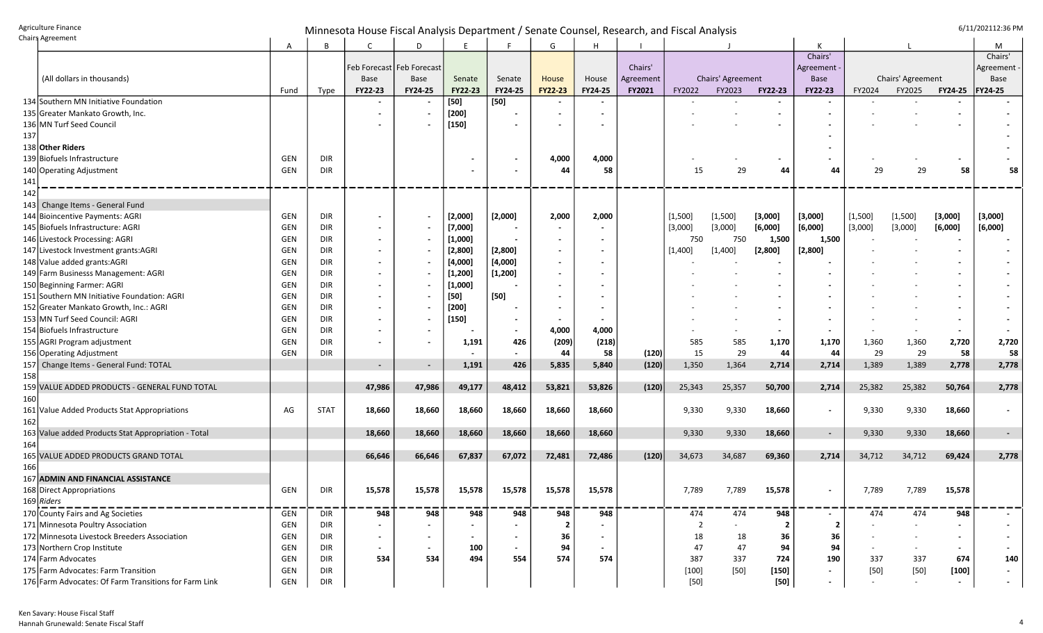## Agriculture Finance<br>Chairs Agreement G/11/202112:36 PM

|     | Chairs Agreement                                      | Α          | B           | C                           | D                        | E              |                | G                        | н                        |               |                |                          |                         |                          |         |                   |                          | М           |
|-----|-------------------------------------------------------|------------|-------------|-----------------------------|--------------------------|----------------|----------------|--------------------------|--------------------------|---------------|----------------|--------------------------|-------------------------|--------------------------|---------|-------------------|--------------------------|-------------|
|     |                                                       |            |             |                             |                          |                |                |                          |                          |               |                |                          |                         | Chairs'                  |         |                   |                          | Chairs'     |
|     |                                                       |            |             | Feb Forecast   Feb Forecast |                          |                |                |                          |                          | Chairs'       |                |                          |                         | Agreement -              |         |                   |                          | Agreement · |
|     | (All dollars in thousands)                            |            |             | <b>Base</b>                 | <b>Base</b>              | Senate         | Senate         | House                    | House                    | Agreement     |                | Chairs' Agreement        |                         | Base                     |         | Chairs' Agreement |                          | Base        |
|     |                                                       | Fund       | Type        | FY22-23                     | FY24-25                  | <b>FY22-23</b> | <b>FY24-25</b> | <b>FY22-23</b>           | <b>FY24-25</b>           | <b>FY2021</b> | FY2022         | FY2023                   | FY22-23                 | <b>FY22-23</b>           | FY2024  | FY2025            | FY24-25                  | FY24-25     |
|     | 134 Southern MN Initiative Foundation                 |            |             |                             | $\overline{\phantom{a}}$ | $[50]$         | $[50]$         | $\blacksquare$           | $\overline{\phantom{a}}$ |               |                |                          |                         | $\blacksquare$           |         |                   |                          |             |
|     | 135 Greater Mankato Growth, Inc.                      |            |             |                             |                          | $[200]$        |                |                          |                          |               |                |                          |                         |                          |         |                   |                          |             |
|     | 136 MN Turf Seed Council                              |            |             |                             |                          | $[150]$        |                |                          |                          |               |                |                          |                         |                          |         |                   |                          |             |
| 137 |                                                       |            |             |                             |                          |                |                |                          |                          |               |                |                          |                         |                          |         |                   |                          |             |
|     | 138 Other Riders                                      |            |             |                             |                          |                |                |                          |                          |               |                |                          |                         |                          |         |                   |                          |             |
|     | 139 Biofuels Infrastructure                           | <b>GEN</b> | DIR         |                             |                          |                |                | 4,000                    | 4,000                    |               |                |                          |                         |                          |         |                   |                          |             |
|     | 140 Operating Adjustment                              | GEN        | DIR         |                             |                          |                |                | 44                       | 58                       |               | 15             | 29                       | 44                      | 44                       | 29      | 29                | 58                       | 58          |
| 141 |                                                       |            |             |                             |                          |                |                |                          |                          |               |                |                          |                         |                          |         |                   |                          |             |
| 142 |                                                       |            |             |                             |                          |                |                |                          |                          |               |                |                          |                         |                          |         |                   |                          |             |
| 143 | Change Items - General Fund                           |            |             |                             |                          |                |                |                          |                          |               |                |                          |                         |                          |         |                   |                          |             |
|     | 144 Bioincentive Payments: AGRI                       | GEN        | DIR         |                             |                          | [2,000]        | [2,000]        | 2,000                    | 2,000                    |               | [1,500]        | [1,500]                  | [3,000]                 | [3,000]                  | [1,500] | [1,500]           | [3,000]                  | [3,000]     |
|     | 145 Biofuels Infrastructure: AGRI                     | GEN        | DIR         |                             |                          | [7,000]        |                | $\blacksquare$           | $\overline{\phantom{a}}$ |               | [3,000]        | [3,000]                  | [6,000]                 | [6,000]                  | [3,000] | [3,000]           | [6,000]                  | [6,000]     |
|     | 146 Livestock Processing: AGRI                        | GEN        | DIR         |                             |                          | [1,000]        |                |                          |                          |               | 750            | 750                      | 1,500                   | 1,500                    |         |                   |                          |             |
|     | 147 Livestock Investment grants: AGRI                 | GEN        | DIR         |                             | $\overline{\phantom{a}}$ | [2,800]        | [2,800]        | $\blacksquare$           | $\blacksquare$           |               | [1,400]        | [1,400]                  | [2,800]                 | [2,800]                  |         |                   |                          |             |
|     | 148 Value added grants: AGRI                          | GEN        | <b>DIR</b>  |                             |                          | [4,000]        | [4,000]        | $\blacksquare$           |                          |               |                |                          |                         |                          |         |                   |                          |             |
|     | 149 Farm Businesss Management: AGRI                   | <b>GEN</b> | <b>DIR</b>  |                             |                          | [1, 200]       | [1, 200]       | $\blacksquare$           |                          |               |                |                          |                         |                          |         |                   |                          |             |
|     | 150 Beginning Farmer: AGRI                            | <b>GEN</b> | DIR         |                             |                          | [1,000]        |                | $\blacksquare$           |                          |               |                |                          |                         |                          |         |                   |                          |             |
|     | 151 Southern MN Initiative Foundation: AGRI           | GEN        | DIR         |                             |                          | $[50]$         | $[50]$         | $\overline{\phantom{a}}$ |                          |               |                |                          |                         |                          |         |                   |                          |             |
|     | 152 Greater Mankato Growth, Inc.: AGRI                | <b>GEN</b> | DIR         |                             |                          | $[200]$        |                | $\blacksquare$           |                          |               |                |                          |                         |                          |         |                   |                          |             |
|     | 153 MN Turf Seed Council: AGRI                        | <b>GEN</b> | <b>DIR</b>  |                             |                          | $[150]$        |                |                          |                          |               |                |                          |                         |                          |         |                   |                          |             |
|     | 154 Biofuels Infrastructure                           | <b>GEN</b> | <b>DIR</b>  |                             |                          |                |                | 4,000                    | 4,000                    |               |                |                          |                         |                          |         |                   |                          |             |
|     | 155 AGRI Program adjustment                           | GEN        | <b>DIR</b>  | $\overline{\phantom{a}}$    | $\overline{\phantom{a}}$ | 1,191          | 426            | (209)                    | (218)                    |               | 585            | 585                      | 1,170                   | 1,170                    | 1,360   | 1,360             | 2,720                    | 2,720       |
|     | 156 Operating Adjustment                              | GEN        | <b>DIR</b>  |                             |                          |                |                | 44                       | 58                       | (120)         | 15             | 29                       | 44                      | 44                       | 29      | 29                | 58                       | 58          |
|     | 157 Change Items - General Fund: TOTAL                |            |             |                             | $\overline{\phantom{a}}$ | 1,191          | 426            | 5,835                    | 5,840                    | (120)         | 1,350          | 1,364                    | 2,714                   | 2,714                    | 1,389   | 1,389             | 2,778                    | 2,778       |
| 158 |                                                       |            |             |                             |                          |                |                |                          |                          |               |                |                          |                         |                          |         |                   |                          |             |
|     | 159 VALUE ADDED PRODUCTS - GENERAL FUND TOTAL         |            |             | 47,986                      | 47,986                   | 49,177         | 48,412         | 53,821                   | 53,826                   | (120)         | 25,343         | 25,357                   | 50,700                  | 2,714                    | 25,382  | 25,382            | 50,764                   | 2,778       |
| 160 |                                                       |            |             |                             |                          |                |                |                          |                          |               |                |                          |                         |                          |         |                   |                          |             |
|     | 161 Value Added Products Stat Appropriations          | AG         | <b>STAT</b> | 18,660                      | 18,660                   | 18,660         | 18,660         | 18,660                   | 18,660                   |               | 9,330          | 9,330                    | 18,660                  | $\blacksquare$           | 9,330   | 9,330             | 18,660                   | $\sim$      |
| 162 |                                                       |            |             |                             |                          |                |                |                          |                          |               |                |                          |                         |                          |         |                   |                          |             |
|     | 163 Value added Products Stat Appropriation - Total   |            |             | 18,660                      | 18,660                   | 18,660         | 18,660         | 18,660                   | 18,660                   |               | 9,330          | 9,330                    | 18,660                  | $\overline{\phantom{a}}$ | 9,330   | 9,330             | 18,660                   | $\sim$      |
| 164 |                                                       |            |             |                             |                          |                |                |                          |                          |               |                |                          |                         |                          |         |                   |                          |             |
|     | 165 VALUE ADDED PRODUCTS GRAND TOTAL                  |            |             | 66,646                      | 66,646                   | 67,837         | 67,072         | 72,481                   | 72,486                   | (120)         | 34,673         | 34,687                   | 69,360                  | 2,714                    | 34,712  | 34,712            | 69,424                   | 2,778       |
| 166 |                                                       |            |             |                             |                          |                |                |                          |                          |               |                |                          |                         |                          |         |                   |                          |             |
|     | 167 ADMIN AND FINANCIAL ASSISTANCE                    |            |             |                             |                          |                |                |                          |                          |               |                |                          |                         |                          |         |                   |                          |             |
|     | 168 Direct Appropriations                             | GEN        | <b>DIR</b>  | 15,578                      | 15,578                   | 15,578         | 15,578         | 15,578                   | 15,578                   |               | 7,789          | 7,789                    | 15,578                  |                          | 7,789   | 7,789             | 15,578                   |             |
|     | $169$ Riders                                          |            |             |                             |                          |                |                |                          |                          |               |                |                          |                         |                          |         |                   |                          |             |
|     | 170 County Fairs and Ag Societies                     | GEN        | DIR         | 948                         | 948                      | 948            | 948            | 948                      | 948                      |               | 474            | 474                      | 948                     | $\overline{\phantom{a}}$ | 474     | 474               | 948                      |             |
|     | 171 Minnesota Poultry Association                     | GEN        | DIR         |                             | $\overline{\phantom{a}}$ |                |                | $\overline{\mathbf{2}}$  |                          |               | $\overline{2}$ | $\overline{\phantom{a}}$ | $\overline{\mathbf{2}}$ | 2                        |         |                   | $\overline{\phantom{a}}$ |             |
|     | 172 Minnesota Livestock Breeders Association          | GEN        | DIR         |                             | $\blacksquare$           |                |                | 36                       |                          |               | 18             | 18                       | 36                      | 36                       |         |                   |                          |             |
|     | 173 Northern Crop Institute                           | GEN        | DIR         |                             | $\overline{\phantom{a}}$ | 100            |                | 94                       |                          |               | 47             | 47                       | 94                      | 94                       |         |                   |                          |             |
|     | 174 Farm Advocates                                    | GEN        | DIR         | 534                         | 534                      | 494            | 554            | 574                      | 574                      |               | 387            | 337                      | 724                     | 190                      | 337     | 337               | 674                      | 140         |
|     | 175 Farm Advocates: Farm Transition                   | GEN        | DIR         |                             |                          |                |                |                          |                          |               | $[100]$        | $[50]$                   | $[150]$                 | $\sim$                   | $[50]$  | $[50]$            | $[100]$                  | $\sim$      |
|     | 176 Farm Advocates: Of Farm Transitions for Farm Link | GEN        | DIR         |                             |                          |                |                |                          |                          |               | $[50]$         |                          | [50]                    | $\sim$                   |         |                   | $\sim$                   | $\sim$      |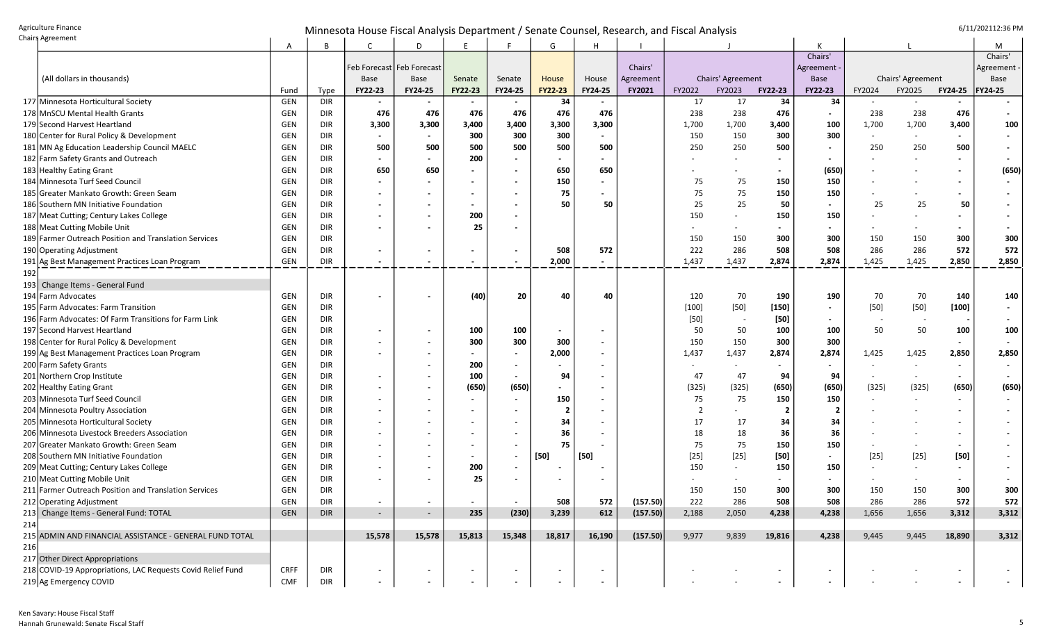## Agriculture Finance and the senate of the senate of the senate of the senate of the senate of the senate of the senate of the senate of the senate of the senate of the senate of the senate of the senate of the senate of th

| chang becomen                                               | A           | B          | C                           | D       | F       |         | G                        | Η                        |           |                          |                   |                |                          |        |                   |                          | м         |
|-------------------------------------------------------------|-------------|------------|-----------------------------|---------|---------|---------|--------------------------|--------------------------|-----------|--------------------------|-------------------|----------------|--------------------------|--------|-------------------|--------------------------|-----------|
|                                                             |             |            |                             |         |         |         |                          |                          |           |                          |                   |                | Chairs'                  |        |                   |                          | Chairs'   |
|                                                             |             |            | Feb Forecast   Feb Forecast |         |         |         |                          |                          | Chairs'   |                          |                   |                | Agreement                |        |                   |                          | Agreement |
| (All dollars in thousands)                                  |             |            | Base                        | Base    | Senate  | Senate  | House                    | House                    | Agreement |                          | Chairs' Agreement |                | <b>Base</b>              |        | Chairs' Agreement |                          | Base      |
|                                                             | Fund        | Type       | FY22-23                     | FY24-25 | FY22-23 | FY24-25 | FY22-23                  | FY24-25                  | FY2021    | FY2022                   | FY2023            | FY22-23        | <b>FY22-23</b>           | FY2024 | FY2025            | <b>FY24-25</b>           | FY24-25   |
| 177 Minnesota Horticultural Society                         | GEN         | <b>DIR</b> |                             |         |         |         | 34                       |                          |           | 17                       | 17                | 34             | 34                       |        |                   |                          |           |
| 178 MnSCU Mental Health Grants                              | GEN         | <b>DIR</b> | 476                         | 476     | 476     | 476     | 476                      | 476                      |           | 238                      | 238               | 476            | $\sim$                   | 238    | 238               | 476                      |           |
| 179 Second Harvest Heartland                                | GEN         | DIR        | 3,300                       | 3,300   | 3,400   | 3,400   | 3,300                    | 3,300                    |           | 1,700                    | 1,700             | 3,400          | 100                      | 1,700  | 1,700             | 3,400                    | 100       |
| 180 Center for Rural Policy & Development                   | GEN         | <b>DIR</b> | $\blacksquare$              |         | 300     | 300     | 300                      |                          |           | 150                      | 150               | 300            | 300                      |        |                   | $\overline{\phantom{a}}$ |           |
| 181 MN Ag Education Leadership Council MAELC                | GEN         | <b>DIR</b> | 500                         | 500     | 500     | 500     | 500                      | 500                      |           | 250                      | 250               | 500            | $\blacksquare$           | 250    | 250               | 500                      |           |
| 182 Farm Safety Grants and Outreach                         | GEN         | <b>DIR</b> |                             |         | 200     |         |                          |                          |           |                          |                   |                |                          |        |                   |                          |           |
| 183 Healthy Eating Grant                                    | GEN         | DIR        | 650                         | 650     |         |         | 650                      | 650                      |           |                          |                   |                | (650)                    |        |                   |                          | (650)     |
| 184 Minnesota Turf Seed Council                             | GEN         | <b>DIR</b> |                             |         |         |         | 150                      |                          |           | 75                       | 75                | 150            | 150                      |        |                   | $\blacksquare$           |           |
| 185 Greater Mankato Growth: Green Seam                      | GEN         | <b>DIR</b> |                             |         |         |         | 75                       |                          |           | 75                       | 75                | 150            | 150                      |        |                   | $\blacksquare$           |           |
| 186 Southern MN Initiative Foundation                       | GEN         | <b>DIR</b> |                             |         |         |         | 50                       | 50                       |           | 25                       | 25                | 50             | $\blacksquare$           | 25     | 25                | 50                       |           |
| 187 Meat Cutting; Century Lakes College                     | GEN         | <b>DIR</b> |                             |         | 200     |         |                          |                          |           | 150                      |                   | 150            | 150                      |        |                   |                          |           |
| 188 Meat Cutting Mobile Unit                                | GEN         | <b>DIR</b> |                             |         | 25      |         |                          |                          |           |                          |                   |                | $\overline{\phantom{a}}$ |        |                   | $\blacksquare$           |           |
| 189 Farmer Outreach Position and Translation Services       | GEN         | <b>DIR</b> |                             |         |         |         |                          |                          |           | 150                      | 150               | 300            | 300                      | 150    | 150               | 300                      | 300       |
| 190 Operating Adjustment                                    | GEN         | <b>DIR</b> |                             |         |         |         | 508                      | 572                      |           | 222                      | 286               | 508            | 508                      | 286    | 286               | 572                      | 572       |
| 191 Ag Best Management Practices Loan Program               | GEN         | <b>DIR</b> |                             |         |         |         | 2,000                    |                          |           | 1,437                    | 1,437             | 2,874          | 2,874                    | 1,425  | 1,425             | 2,850                    | 2,850     |
| 192                                                         |             |            |                             |         |         |         |                          |                          |           |                          |                   |                |                          |        |                   |                          |           |
| 193 Change Items - General Fund                             |             |            |                             |         |         |         |                          |                          |           |                          |                   |                |                          |        |                   |                          |           |
| 194 Farm Advocates                                          | GEN         | <b>DIR</b> |                             |         | (40)    | 20      | 40                       | 40                       |           | 120                      | 70                | 190            | 190                      | 70     | 70                | 140                      | 140       |
| 195 Farm Advocates: Farm Transition                         | GEN         | <b>DIR</b> |                             |         |         |         |                          |                          |           | $[100]$                  | $[50]$            | $[150]$        | $\overline{\phantom{a}}$ | $[50]$ | $[50]$            | $[100]$                  |           |
| 196 Farm Advocates: Of Farm Transitions for Farm Link       | GEN         | <b>DIR</b> |                             |         |         |         |                          |                          |           | $[50]$                   |                   | $[50]$         |                          |        |                   |                          |           |
| 197 Second Harvest Heartland                                | GEN         | <b>DIR</b> |                             |         | 100     | 100     | $\overline{\phantom{a}}$ |                          |           | 50                       | 50                | 100            | 100                      | 50     | 50                | 100                      | 100       |
| 198 Center for Rural Policy & Development                   | GEN         | DIR        |                             |         | 300     | 300     | 300                      |                          |           | 150                      | 150               | 300            | 300                      |        |                   | $\sim$                   |           |
| 199 Ag Best Management Practices Loan Program               | GEN         | DIR        |                             |         |         |         | 2,000                    | $\overline{\phantom{a}}$ |           | 1,437                    | 1,437             | 2,874          | 2,874                    | 1,425  | 1,425             | 2,850                    | 2,850     |
| 200 Farm Safety Grants                                      | GEN         | <b>DIR</b> |                             |         | 200     |         | $\overline{\phantom{a}}$ |                          |           | $\overline{\phantom{a}}$ |                   |                | $\overline{\phantom{a}}$ |        |                   |                          |           |
| 201 Northern Crop Institute                                 | GEN         | <b>DIR</b> |                             |         | 100     |         | 94                       |                          |           | 47                       | 47                | 94             | 94                       |        |                   |                          |           |
| 202 Healthy Eating Grant                                    | GEN         | DIR        |                             |         | (650)   | (650)   |                          |                          |           | (325)                    | (325)             | (650)          | (650)                    | (325)  | (325)             | (650)                    | (650)     |
| 203 Minnesota Turf Seed Council                             | GEN         | <b>DIR</b> |                             |         |         |         | 150                      |                          |           | 75                       | 75                | 150            | 150                      |        |                   | $\blacksquare$           |           |
| 204 Minnesota Poultry Association                           | GEN         | DIR        |                             |         |         |         |                          |                          |           | -2                       |                   | -2             | $\overline{\mathbf{2}}$  |        |                   |                          |           |
| 205 Minnesota Horticultural Society                         | GEN         | DIR        |                             |         |         |         | 34                       |                          |           | 17                       | 17                | 34             | 34                       |        |                   |                          |           |
| 206 Minnesota Livestock Breeders Association                | GEN         | <b>DIR</b> |                             |         |         |         | 36                       |                          |           | 18                       | 18                | 36             | 36                       |        |                   |                          |           |
| 207 Greater Mankato Growth: Green Seam                      | GEN         | <b>DIR</b> |                             |         |         |         | 75                       |                          |           | 75                       | 75                | 150            | 150                      |        |                   | $\blacksquare$           |           |
| 208 Southern MN Initiative Foundation                       | GEN         | <b>DIR</b> |                             |         |         |         | $[50]$                   | $[50]$                   |           | $[25]$                   | $[25]$            | $[50]$         | $\blacksquare$           | $[25]$ | $[25]$            | $[50]$                   |           |
| 209 Meat Cutting; Century Lakes College                     | GEN         | <b>DIR</b> |                             |         | 200     |         |                          |                          |           | 150                      |                   | 150            | 150                      |        |                   | $\blacksquare$           |           |
| 210 Meat Cutting Mobile Unit                                | GEN         | <b>DIR</b> |                             |         | 25      |         |                          |                          |           |                          |                   |                | $\overline{\phantom{a}}$ |        |                   | $\blacksquare$           |           |
| 211 Farmer Outreach Position and Translation Services       | GEN         | <b>DIR</b> |                             |         |         |         |                          |                          |           | 150                      | 150               | 300            | 300                      | 150    | 150               | 300                      | 300       |
| 212 Operating Adjustment                                    | GEN         | <b>DIR</b> |                             |         |         |         | 508                      | 572                      | (157.50)  | 222                      | 286               | 508            | 508                      | 286    | 286               | 572                      | 572       |
| 213 Change Items - General Fund: TOTAL                      | GEN         | <b>DIR</b> | $\blacksquare$              | $\sim$  | 235     | (230)   | 3,239                    | 612                      | (157.50)  | 2,188                    | 2,050             | 4,238          | 4,238                    | 1,656  | 1,656             | 3,312                    | 3,312     |
| 214                                                         |             |            |                             |         |         |         |                          |                          |           |                          |                   |                |                          |        |                   |                          |           |
| 215 ADMIN AND FINANCIAL ASSISTANCE - GENERAL FUND TOTAL     |             |            | 15,578                      | 15,578  | 15,813  | 15,348  | 18,817                   | 16,190                   | (157.50)  | 9,977                    | 9,839             |                | 4,238                    | 9,445  | 9,445             |                          |           |
| 216                                                         |             |            |                             |         |         |         |                          |                          |           |                          |                   | 19,816         |                          |        |                   | 18,890                   | 3,312     |
|                                                             |             |            |                             |         |         |         |                          |                          |           |                          |                   |                |                          |        |                   |                          |           |
| 217 Other Direct Appropriations                             |             |            |                             |         |         |         |                          |                          |           |                          |                   |                |                          |        |                   |                          |           |
| 218 COVID-19 Appropriations, LAC Requests Covid Relief Fund | <b>CRFF</b> | DIR        |                             |         |         |         | $\sim$                   | $\sim$                   |           |                          |                   | $\blacksquare$ | $\blacksquare$           |        |                   | $\blacksquare$           | $\sim$    |
| 219 Ag Emergency COVID                                      | CMF         | DIR        |                             |         |         |         |                          |                          |           |                          |                   |                |                          |        |                   |                          |           |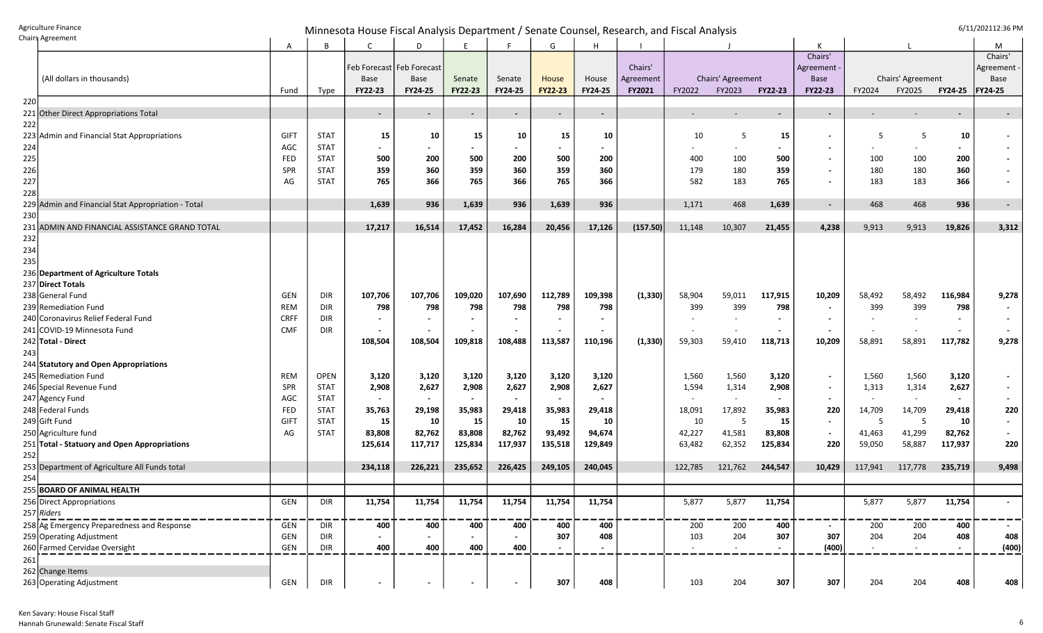Agriculture Finance<br>Chairs Agreement G/11/202112:36 PM

|     | Chairs Agreement                                   | Α           | B           |                          | D                           | Ε                        |                | G                        | H       |           |                  |                   |                          | К                        |         |                   |                          | М              |
|-----|----------------------------------------------------|-------------|-------------|--------------------------|-----------------------------|--------------------------|----------------|--------------------------|---------|-----------|------------------|-------------------|--------------------------|--------------------------|---------|-------------------|--------------------------|----------------|
|     |                                                    |             |             |                          |                             |                          |                |                          |         |           |                  |                   |                          | Chairs'                  |         |                   |                          | Chairs'        |
|     |                                                    |             |             |                          | Feb Forecast   Feb Forecast |                          |                |                          |         | Chairs'   |                  |                   |                          | Agreement                |         |                   |                          | Agreement      |
|     | (All dollars in thousands)                         |             |             | Base                     | Base                        | Senate                   | Senate         | House                    | House   | Agreement |                  | Chairs' Agreement |                          | <b>Base</b>              |         | Chairs' Agreement |                          | Base           |
|     |                                                    | Fund        | Type        | FY22-23                  | FY24-25                     | FY22-23                  | FY24-25        | <b>FY22-23</b>           | FY24-25 | FY2021    | FY2022           | FY2023            | <b>FY22-23</b>           | FY22-23                  | FY2024  | FY2025            | <b>FY24-25</b>           | FY24-25        |
| 220 |                                                    |             |             |                          |                             |                          |                |                          |         |           |                  |                   |                          |                          |         |                   |                          |                |
|     | 221 Other Direct Appropriations Total              |             |             | $\overline{\phantom{a}}$ | $\blacksquare$              | $\overline{\phantom{a}}$ | $\blacksquare$ | $\sim$                   | $\sim$  |           |                  |                   | $\sim$                   | $\overline{\phantom{a}}$ |         |                   |                          |                |
| 222 |                                                    |             |             |                          |                             |                          |                |                          |         |           |                  |                   |                          |                          |         |                   |                          |                |
|     | 223 Admin and Financial Stat Appropriations        | GIFT        | <b>STAT</b> | 15                       | 10                          | 15                       | 10             | 15                       | 10      |           | 10               | -5                | 15                       | $\blacksquare$           | -5      | 5                 | 10                       |                |
| 224 |                                                    | AGC         | <b>STAT</b> |                          | $\blacksquare$              |                          |                | $\overline{\phantom{0}}$ |         |           |                  |                   |                          | $\overline{\phantom{a}}$ |         |                   | $\blacksquare$           |                |
| 225 |                                                    | FED         | <b>STAT</b> | 500                      | 200                         | 500                      | 200            | 500                      | 200     |           | 400              | 100               | 500                      | $\sim$                   | 100     | 100               | 200                      |                |
| 226 |                                                    | <b>SPR</b>  | <b>STAT</b> | 359                      | 360                         | 359                      | 360            | 359                      | 360     |           | 179              | 180               | 359                      | $\sim$                   | 180     | 180               | 360                      |                |
| 227 |                                                    | AG          | <b>STAT</b> | 765                      | 366                         | 765                      | 366            | 765                      | 366     |           | 582              | 183               | 765                      |                          | 183     | 183               | 366                      |                |
| 228 |                                                    |             |             |                          |                             |                          |                |                          |         |           |                  |                   |                          |                          |         |                   |                          |                |
|     | 229 Admin and Financial Stat Appropriation - Total |             |             | 1,639                    | 936                         | 1,639                    | 936            | 1,639                    | 936     |           | 1,171            | 468               | 1,639                    | $\sim$                   | 468     | 468               | 936                      | $\sim$         |
| 230 |                                                    |             |             |                          |                             |                          |                |                          |         |           |                  |                   |                          |                          |         |                   |                          |                |
|     | 231 ADMIN AND FINANCIAL ASSISTANCE GRAND TOTAL     |             |             | 17,217                   | 16,514                      | 17,452                   | 16,284         | 20,456                   | 17,126  | (157.50)  | 11,148           | 10,307            | 21,455                   | 4,238                    | 9,913   | 9,913             | 19,826                   | 3,312          |
| 232 |                                                    |             |             |                          |                             |                          |                |                          |         |           |                  |                   |                          |                          |         |                   |                          |                |
| 234 |                                                    |             |             |                          |                             |                          |                |                          |         |           |                  |                   |                          |                          |         |                   |                          |                |
| 235 |                                                    |             |             |                          |                             |                          |                |                          |         |           |                  |                   |                          |                          |         |                   |                          |                |
|     | 236 Department of Agriculture Totals               |             |             |                          |                             |                          |                |                          |         |           |                  |                   |                          |                          |         |                   |                          |                |
|     | 237 Direct Totals                                  |             |             |                          |                             |                          |                |                          |         |           |                  |                   |                          |                          |         |                   |                          |                |
|     | 238 General Fund                                   | GEN         | DIR         | 107,706                  | 107,706                     | 109,020                  | 107,690        | 112,789                  | 109,398 | (1, 330)  | 58,904           | 59,011            | 117,915                  | 10,209                   | 58,492  | 58,492            | 116,984                  | 9,278          |
|     | 239 Remediation Fund                               | REM         | DIR         | 798                      | 798                         | 798                      | 798            | 798                      | 798     |           | 399              | 399               | 798                      | $\sim$                   | 399     | 399               | 798                      |                |
|     | 240 Coronavirus Relief Federal Fund                | <b>CRFF</b> | DIR         |                          | $\overline{\phantom{a}}$    |                          |                |                          |         |           |                  |                   | $\overline{\phantom{a}}$ | $\overline{\phantom{a}}$ |         |                   | $\overline{\phantom{a}}$ |                |
|     | 241 COVID-19 Minnesota Fund                        | <b>CMF</b>  | <b>DIR</b>  |                          | $\overline{\phantom{a}}$    |                          |                |                          |         |           |                  |                   |                          |                          |         |                   |                          |                |
|     | 242 Total - Direct                                 |             |             | 108,504                  | 108,504                     | 109,818                  | 108,488        | 113,587                  | 110,196 | (1, 330)  | 59,303           | 59,410            | 118,713                  | 10,209                   | 58,891  | 58,891            | 117,782                  | 9,278          |
| 243 |                                                    |             |             |                          |                             |                          |                |                          |         |           |                  |                   |                          |                          |         |                   |                          |                |
|     | 244 Statutory and Open Appropriations              |             |             |                          |                             |                          |                |                          |         |           |                  |                   |                          |                          |         |                   |                          |                |
|     | 245 Remediation Fund                               | REM         | <b>OPEN</b> | 3,120                    | 3,120                       | 3,120                    | 3,120          | 3,120                    | 3,120   |           | 1,560            | 1,560             | 3,120                    | $\sim$                   | 1,560   | 1,560             | 3,120                    |                |
|     | 246 Special Revenue Fund                           | <b>SPR</b>  | <b>STAT</b> | 2,908                    | 2,627                       | 2,908                    | 2,627          | 2,908                    | 2,627   |           | 1,594            | 1,314             | 2,908                    | $\sim$                   | 1,313   | 1,314             | 2,627                    |                |
|     | 247 Agency Fund                                    | AGC         | <b>STAT</b> |                          |                             |                          |                | $\blacksquare$           |         |           |                  |                   |                          | $\blacksquare$           |         |                   |                          |                |
|     | 248 Federal Funds                                  | FED         | <b>STAT</b> | 35,763                   | 29,198                      | 35,983                   | 29,418         | 35,983                   | 29,418  |           | 18,091           | 17,892            | 35,983                   | 220                      | 14,709  | 14,709            | 29,418                   | 220            |
|     | 249 Gift Fund                                      | <b>GIFT</b> | <b>STAT</b> | 15                       | 10                          | 15                       | 10             | 15                       | 10      |           | 10               | -5                | 15                       | $\sim$                   | -5      | -5                | 10                       | $\blacksquare$ |
|     | 250 Agriculture fund                               | AG          | <b>STAT</b> | 83,808                   | 82,762                      | 83,808                   | 82,762         | 93,492                   | 94,674  |           | 42,227           | 41,581            | 83,808                   | $\blacksquare$           | 41,463  | 41,299            | 82,762                   |                |
|     | 251 Total - Statuory and Open Appropriations       |             |             | 125,614                  | 117,717                     | 125,834                  | 117,937        | 135,518                  | 129,849 |           | 63,482           | 62,352            | 125,834                  | 220                      | 59,050  | 58,887            | 117,937                  | 220            |
| 252 |                                                    |             |             |                          |                             |                          |                |                          |         |           |                  |                   |                          |                          |         |                   |                          |                |
|     | 253 Department of Agriculture All Funds total      |             |             | 234,118                  | 226,221                     | 235,652                  | 226,425        | 249,105                  | 240,045 |           | 122,785          | 121,762           | 244,547                  | 10,429                   | 117,941 | 117,778           | 235,719                  | 9,498          |
| 254 |                                                    |             |             |                          |                             |                          |                |                          |         |           |                  |                   |                          |                          |         |                   |                          |                |
|     | 255 BOARD OF ANIMAL HEALTH                         |             |             |                          |                             |                          |                |                          |         |           |                  |                   |                          |                          |         |                   |                          |                |
|     | 256 Direct Appropriations                          | <b>GEN</b>  | DIR         | 11,754                   | 11,754                      | 11,754                   | 11,754         | 11,754                   | 11,754  |           | 5,877            | 5,877             | 11,754                   |                          | 5,877   | 5,877             | 11,754                   |                |
|     | $257$ Riders                                       |             |             |                          |                             |                          |                |                          |         |           |                  |                   |                          |                          |         |                   |                          |                |
|     | 258 Ag Emergency Preparedness and Response         | GEN         | DIR         | 400                      | 400                         | 400                      | 400            | 400                      | 400     |           | $\overline{200}$ | 200               | 400                      | $\sim$                   | 200     | 200               | 400                      | $\sim$         |
|     | 259 Operating Adjustment                           | GEN         | DIR         |                          |                             |                          |                | 307                      | 408     |           | 103              | 204               | 307                      | 307                      | 204     | 204               | 408                      | 408            |
|     | 260 Farmed Cervidae Oversight                      | GEN         | <b>DIR</b>  | $\sim$<br>400            | $\sim$<br>400               | 400                      | $\sim$<br>400  | $\overline{\phantom{0}}$ |         |           |                  |                   |                          | (400)                    |         |                   | $\blacksquare$           | (400)          |
|     |                                                    |             |             |                          |                             |                          |                |                          |         |           |                  |                   |                          |                          |         |                   |                          |                |
| 261 |                                                    |             |             |                          |                             |                          |                |                          |         |           |                  |                   |                          |                          |         |                   |                          |                |
|     | 262 Change Items                                   |             |             |                          |                             |                          |                |                          |         |           |                  |                   |                          |                          |         |                   |                          |                |
|     | 263 Operating Adjustment                           | GEN         | <b>DIR</b>  |                          |                             |                          |                | 307                      | 408     |           | 103              | 204               | 307                      | 307                      | 204     | 204               | 408                      | 408            |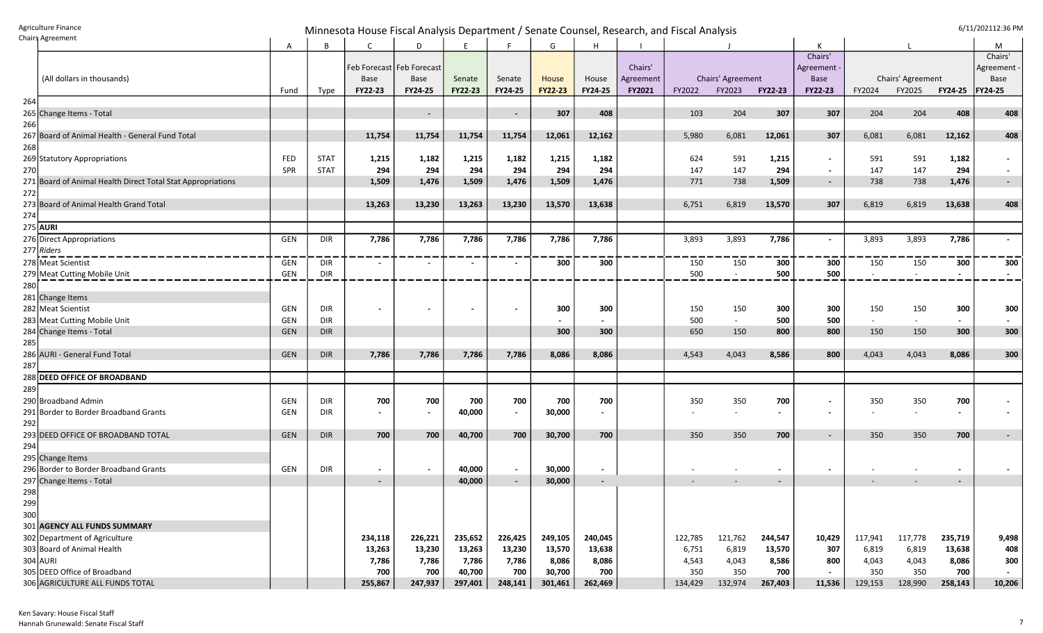Agriculture Finance<br>Chairs Agreement G/11/202112:36 PM

|     | Chaing Agreement                                            | A          | B           |                             | D       | E              |                          | G       | H       |               |         |                          |                | К              |                          |                          |                          | M                        |
|-----|-------------------------------------------------------------|------------|-------------|-----------------------------|---------|----------------|--------------------------|---------|---------|---------------|---------|--------------------------|----------------|----------------|--------------------------|--------------------------|--------------------------|--------------------------|
|     |                                                             |            |             |                             |         |                |                          |         |         |               |         |                          |                | Chairs'        |                          |                          |                          | Chairs'                  |
|     |                                                             |            |             | Feb Forecast   Feb Forecast |         |                |                          |         |         | Chairs'       |         |                          |                | Agreement      |                          |                          |                          | Agreement                |
|     | (All dollars in thousands)                                  |            |             | Base                        | Base    | Senate         | Senate                   | House   | House   | Agreement     |         | Chairs' Agreement        |                | <b>Base</b>    |                          | Chairs' Agreement        |                          | Base                     |
|     |                                                             | Fund       | Type        | FY22-23                     | FY24-25 | <b>FY22-23</b> | FY24-25                  | FY22-23 | FY24-25 | <b>FY2021</b> | FY2022  | FY2023                   | <b>FY22-23</b> | <b>FY22-23</b> | FY2024                   | FY2025                   | <b>FY24-25</b>           | <b>FY24-25</b>           |
| 264 |                                                             |            |             |                             |         |                |                          |         |         |               |         |                          |                |                |                          |                          |                          |                          |
|     | 265 Change Items - Total                                    |            |             |                             | $\sim$  |                | $\sim$                   | 307     | 408     |               | 103     | 204                      | 307            | 307            | 204                      | 204                      | 408                      | 408                      |
| 266 |                                                             |            |             |                             |         |                |                          |         |         |               |         |                          |                |                |                          |                          |                          |                          |
|     | 267 Board of Animal Health - General Fund Total             |            |             | 11,754                      | 11,754  | 11,754         | 11,754                   | 12,061  | 12,162  |               | 5,980   | 6,081                    | 12,061         | 307            | 6,081                    | 6,081                    | 12,162                   | 408                      |
| 268 |                                                             |            |             |                             |         |                |                          |         |         |               |         |                          |                |                |                          |                          |                          |                          |
|     | 269 Statutory Appropriations                                | <b>FED</b> | <b>STAT</b> | 1,215                       | 1,182   | 1,215          | 1,182                    | 1,215   | 1,182   |               | 624     | 591                      | 1,215          | $\blacksquare$ | 591                      | 591                      | 1,182                    |                          |
| 270 |                                                             | SPR        | <b>STAT</b> | 294                         | 294     | 294            | 294                      | 294     | 294     |               | 147     | 147                      | 294            | $\sim$         | 147                      | 147                      | 294                      |                          |
|     | 271 Board of Animal Health Direct Total Stat Appropriations |            |             | 1,509                       | 1,476   | 1,509          | 1,476                    | 1,509   | 1,476   |               | 771     | 738                      | 1,509          | $\sim$         | 738                      | 738                      | 1,476                    | $\sim$                   |
| 272 |                                                             |            |             |                             |         |                |                          |         |         |               |         |                          |                |                |                          |                          |                          |                          |
|     | 273 Board of Animal Health Grand Total                      |            |             | 13,263                      | 13,230  | 13,263         | 13,230                   | 13,570  | 13,638  |               | 6,751   | 6,819                    | 13,570         | 307            | 6,819                    | 6,819                    | 13,638                   | 408                      |
| 274 |                                                             |            |             |                             |         |                |                          |         |         |               |         |                          |                |                |                          |                          |                          |                          |
|     | 275 AURI                                                    |            |             |                             |         |                |                          |         |         |               |         |                          |                |                |                          |                          |                          |                          |
|     | 276 Direct Appropriations                                   | GEN        | DIR         | 7,786                       | 7,786   | 7,786          | 7,786                    | 7,786   | 7,786   |               | 3,893   | 3,893                    | 7,786          | $\blacksquare$ | 3,893                    | 3,893                    | 7,786                    | $\sim$                   |
|     | 277 Riders                                                  |            |             |                             |         |                |                          |         |         |               |         |                          |                |                |                          |                          |                          |                          |
|     | 278 Meat Scientist                                          | GEN        | DIR         |                             |         |                |                          | 300     | 300     |               | 150     | 150                      | 300            | 300            | 150                      | 150                      | 300                      | 300                      |
|     | 279 Meat Cutting Mobile Unit                                | GEN        | <b>DIR</b>  |                             |         |                |                          |         |         |               | 500     |                          | 500            | 500            |                          | $\sim$                   | $\blacksquare$           | $\blacksquare$           |
| 280 |                                                             |            |             |                             |         |                |                          |         |         |               |         |                          |                |                |                          |                          |                          |                          |
|     | 281 Change Items                                            |            |             |                             |         |                |                          |         |         |               |         |                          |                |                |                          |                          |                          |                          |
|     | 282 Meat Scientist                                          | <b>GEN</b> | DIR         |                             |         |                |                          | 300     | 300     |               | 150     | 150                      | 300            | 300            | 150                      | 150                      | 300                      | 300                      |
|     | 283 Meat Cutting Mobile Unit                                | <b>GEN</b> | DIR         |                             |         |                |                          |         |         |               | 500     | $\sim$                   | 500            | 500            | $\overline{\phantom{a}}$ | $\overline{\phantom{a}}$ | $\sim$                   | $\blacksquare$           |
|     | 284 Change Items - Total                                    | <b>GEN</b> | <b>DIR</b>  |                             |         |                |                          | 300     | 300     |               | 650     | 150                      | 800            | 800            | 150                      | 150                      | 300                      | 300                      |
| 285 |                                                             |            |             |                             |         |                |                          |         |         |               |         |                          |                |                |                          |                          |                          |                          |
|     | 286 AURI - General Fund Total                               | <b>GEN</b> | <b>DIR</b>  | 7,786                       | 7,786   | 7,786          | 7,786                    | 8,086   | 8,086   |               | 4,543   | 4,043                    | 8,586          | 800            | 4,043                    | 4,043                    | 8,086                    | 300                      |
| 287 |                                                             |            |             |                             |         |                |                          |         |         |               |         |                          |                |                |                          |                          |                          |                          |
|     | 288 DEED OFFICE OF BROADBAND                                |            |             |                             |         |                |                          |         |         |               |         |                          |                |                |                          |                          |                          |                          |
| 289 |                                                             |            |             |                             |         |                |                          |         |         |               |         |                          |                |                |                          |                          |                          |                          |
|     | 290 Broadband Admin                                         | <b>GEN</b> | DIR         | 700                         | 700     | 700            | 700                      | 700     | 700     |               | 350     | 350                      | 700            | $\blacksquare$ | 350                      | 350                      | 700                      |                          |
|     | 291 Border to Border Broadband Grants                       | <b>GEN</b> | DIR         | $\blacksquare$              | $\sim$  | 40,000         | $\overline{\phantom{a}}$ | 30,000  | $\sim$  |               |         |                          | $\blacksquare$ | $\blacksquare$ |                          |                          | $\blacksquare$           |                          |
| 292 |                                                             |            |             |                             |         |                |                          |         |         |               |         |                          |                |                |                          |                          |                          |                          |
|     | 293 DEED OFFICE OF BROADBAND TOTAL                          | <b>GEN</b> | <b>DIR</b>  | 700                         | 700     | 40,700         | 700                      | 30,700  | 700     |               | 350     | 350                      | 700            | $\blacksquare$ | 350                      | 350                      | 700                      | $\overline{\phantom{a}}$ |
| 294 |                                                             |            |             |                             |         |                |                          |         |         |               |         |                          |                |                |                          |                          |                          |                          |
|     | 295 Change Items                                            |            |             |                             |         |                |                          |         |         |               |         |                          |                |                |                          |                          |                          |                          |
|     | 296 Border to Border Broadband Grants                       | GEN        | DIR         | $\blacksquare$              | $\sim$  | 40,000         | $\sim$                   | 30,000  | $\sim$  |               |         | $\overline{\phantom{a}}$ | $\sim$         | $\blacksquare$ |                          | $\overline{\phantom{a}}$ | $\overline{\phantom{a}}$ |                          |
|     | 297 Change Items - Total                                    |            |             | $\overline{\phantom{a}}$    |         | 40,000         | $\sim$                   | 30,000  | $\sim$  |               |         |                          | $\sim$         |                |                          |                          | $\sim$                   |                          |
| 298 |                                                             |            |             |                             |         |                |                          |         |         |               |         |                          |                |                |                          |                          |                          |                          |
| 299 |                                                             |            |             |                             |         |                |                          |         |         |               |         |                          |                |                |                          |                          |                          |                          |
| 300 |                                                             |            |             |                             |         |                |                          |         |         |               |         |                          |                |                |                          |                          |                          |                          |
|     | 301 AGENCY ALL FUNDS SUMMARY                                |            |             |                             |         |                |                          |         |         |               |         |                          |                |                |                          |                          |                          |                          |
|     | 302 Department of Agriculture                               |            |             | 234,118                     | 226,221 | 235,652        | 226,425                  | 249,105 | 240,045 |               | 122,785 | 121,762                  | 244,547        | 10,429         | 117,941                  | 117,778                  | 235,719                  | 9,498                    |
|     | 303 Board of Animal Health                                  |            |             | 13,263                      | 13,230  | 13,263         | 13,230                   | 13,570  | 13,638  |               | 6,751   | 6,819                    | 13,570         | 307            | 6,819                    | 6,819                    | 13,638                   | 408                      |
|     | 304 AURI                                                    |            |             | 7,786                       | 7,786   | 7,786          | 7,786                    | 8,086   | 8,086   |               | 4,543   | 4,043                    | 8,586          | 800            | 4,043                    | 4,043                    | 8,086                    | 300                      |
|     | 305 DEED Office of Broadband                                |            |             | 700                         | 700     | 40,700         | 700                      | 30,700  | 700     |               | 350     | 350                      | 700            | $\sim$         | 350                      | 350                      | 700                      | $\sim$                   |
|     | 306 AGRICULTURE ALL FUNDS TOTAL                             |            |             | 255,867                     | 247,937 | 297,401        | 248,141                  | 301,461 | 262,469 |               | 134,429 | 132,974                  | 267,403        | 11,536         | 129,153                  | 128,990                  | 258,143                  | 10,206                   |
|     |                                                             |            |             |                             |         |                |                          |         |         |               |         |                          |                |                |                          |                          |                          |                          |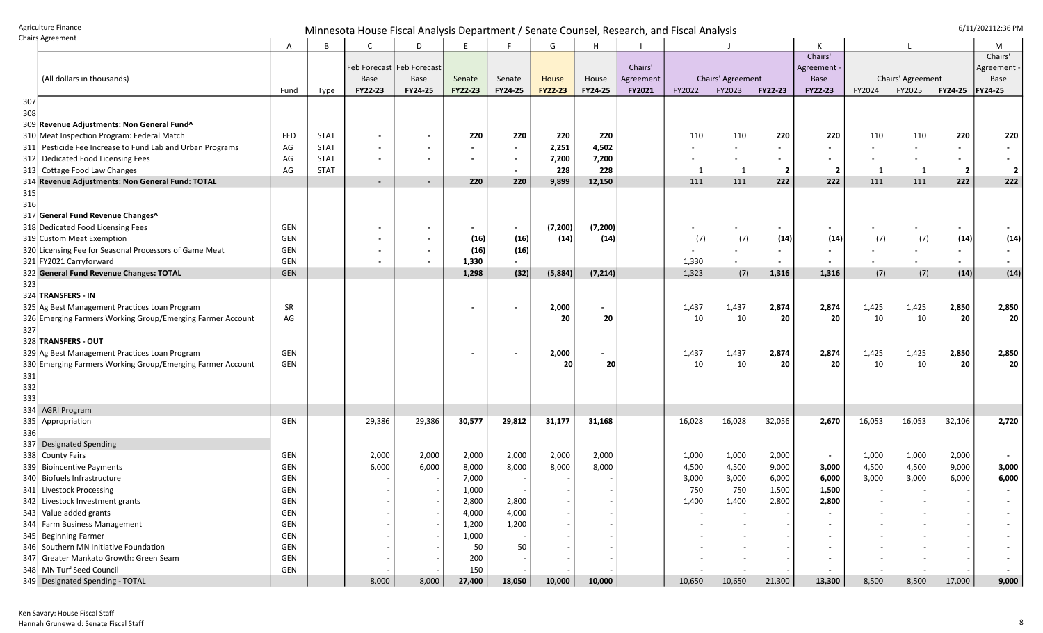## Agriculture Finance **Chairs Agriculture Finance**<br>Chairs Agreement **Chairs Agreement**

| Chain a Obreement                                             | Α          | B           | C                        | D                           | E              |                | G              | Н                        |           |        |                   |                         |                          |        |                   |                          | М              |
|---------------------------------------------------------------|------------|-------------|--------------------------|-----------------------------|----------------|----------------|----------------|--------------------------|-----------|--------|-------------------|-------------------------|--------------------------|--------|-------------------|--------------------------|----------------|
|                                                               |            |             |                          |                             |                |                |                |                          |           |        |                   |                         | Chairs'                  |        |                   |                          | Chairs'        |
|                                                               |            |             |                          | Feb Forecast   Feb Forecast |                |                |                |                          | Chairs'   |        |                   |                         | Agreement -              |        |                   |                          | Agreement -    |
| (All dollars in thousands)                                    |            |             | <b>Base</b>              | Base                        | Senate         | Senate         | House          | House                    | Agreement |        | Chairs' Agreement |                         | Base                     |        | Chairs' Agreement |                          | Base           |
|                                                               | Fund       | Type        | <b>FY22-23</b>           | FY24-25                     | <b>FY22-23</b> | <b>FY24-25</b> | <b>FY22-23</b> | FY24-25                  | FY2021    | FY2022 | FY2023            | <b>FY22-23</b>          | FY22-23                  | FY2024 | FY2025            | <b>FY24-25</b>           | FY24-25        |
| 307                                                           |            |             |                          |                             |                |                |                |                          |           |        |                   |                         |                          |        |                   |                          |                |
| 308                                                           |            |             |                          |                             |                |                |                |                          |           |        |                   |                         |                          |        |                   |                          |                |
| 309 Revenue Adjustments: Non General Fund^                    |            |             |                          |                             |                |                |                |                          |           |        |                   |                         |                          |        |                   |                          |                |
| 310 Meat Inspection Program: Federal Match                    | FED        | <b>STAT</b> |                          | $\overline{\phantom{a}}$    | 220            | 220            | 220            | 220                      |           | 110    | 110               | 220                     | 220                      | 110    | 110               | 220                      | 220            |
| 311 Pesticide Fee Increase to Fund Lab and Urban Programs     | AG         | <b>STAT</b> |                          | $\overline{\phantom{a}}$    |                |                | 2,251          | 4,502                    |           |        |                   |                         | $\blacksquare$           |        |                   | $\blacksquare$           |                |
| Dedicated Food Licensing Fees<br>312                          | AG         | <b>STAT</b> |                          | $\overline{\phantom{a}}$    |                |                | 7,200          | 7,200                    |           |        |                   |                         | $\blacksquare$           |        |                   |                          |                |
| 313 Cottage Food Law Changes                                  | AG         | <b>STAT</b> |                          |                             |                |                | 228            | 228                      |           | 1      | 1                 | $\overline{\mathbf{2}}$ | $\overline{2}$           | -1     | -1                | $\overline{2}$           | $\overline{2}$ |
| 314 Revenue Adjustments: Non General Fund: TOTAL              |            |             | $\overline{\phantom{a}}$ | $\blacksquare$              | 220            | 220            | 9,899          | 12,150                   |           | 111    | 111               | 222                     | 222                      | 111    | 111               | 222                      | 222            |
| 315                                                           |            |             |                          |                             |                |                |                |                          |           |        |                   |                         |                          |        |                   |                          |                |
| 316                                                           |            |             |                          |                             |                |                |                |                          |           |        |                   |                         |                          |        |                   |                          |                |
| 317 General Fund Revenue Changes^                             |            |             |                          |                             |                |                |                |                          |           |        |                   |                         |                          |        |                   |                          |                |
| 318 Dedicated Food Licensing Fees                             | GEN        |             |                          | $\overline{\phantom{a}}$    | $\blacksquare$ | $\blacksquare$ | (7, 200)       | (7, 200)                 |           |        |                   |                         | $\overline{\phantom{a}}$ |        |                   |                          |                |
| 319 Custom Meat Exemption                                     | GEN        |             |                          | $\overline{\phantom{a}}$    | (16)           | (16)           | (14)           | (14)                     |           | (7)    | (7)               | (14)                    | (14)                     | (7)    | (7)               | (14)                     | (14)           |
| 320 Licensing Fee for Seasonal Processors of Game Meat        | GEN        |             |                          | $\overline{\phantom{a}}$    | (16)           | (16)           |                |                          |           |        |                   |                         | $\blacksquare$           |        |                   | $\overline{\phantom{a}}$ | $\sim$         |
| 321 FY2021 Carryforward                                       | GEN        |             |                          | $\overline{\phantom{a}}$    | 1,330          |                |                |                          |           | 1,330  |                   |                         |                          |        |                   |                          |                |
| 322 General Fund Revenue Changes: TOTAL                       | GEN        |             |                          |                             | 1,298          | (32)           | (5,884)        | (7, 214)                 |           | 1,323  | (7)               | 1,316                   | 1,316                    | (7)    | (7)               | (14)                     | (14)           |
| 323                                                           |            |             |                          |                             |                |                |                |                          |           |        |                   |                         |                          |        |                   |                          |                |
| 324 TRANSFERS - IN                                            |            |             |                          |                             |                |                |                |                          |           |        |                   |                         |                          |        |                   |                          |                |
| 325 Ag Best Management Practices Loan Program                 | <b>SR</b>  |             |                          |                             |                |                | 2,000          | $\overline{\phantom{0}}$ |           | 1,437  | 1,437             | 2,874                   | 2,874                    | 1,425  | 1,425             | 2,850                    | 2,850          |
| 326 Emerging Farmers Working Group/Emerging Farmer Account    | AG         |             |                          |                             |                |                | 20             | 20                       |           | 10     | 10                | 20                      | 20                       | 10     | 10                | 20                       | 20             |
| 327                                                           |            |             |                          |                             |                |                |                |                          |           |        |                   |                         |                          |        |                   |                          |                |
| 328 TRANSFERS - OUT                                           |            |             |                          |                             |                |                |                |                          |           |        |                   |                         |                          |        |                   |                          |                |
| 329 Ag Best Management Practices Loan Program                 | GEN        |             |                          |                             |                |                | 2,000          | $\overline{\phantom{0}}$ |           | 1,437  | 1,437             | 2,874                   | 2,874                    | 1,425  | 1,425             | 2,850                    | 2,850          |
| 330 Emerging Farmers Working Group/Emerging Farmer Account    | GEN        |             |                          |                             |                |                | -20            | 20                       |           | 10     | 10                | 20                      | 20                       | 10     | 10                | 20                       | 20             |
| 331                                                           |            |             |                          |                             |                |                |                |                          |           |        |                   |                         |                          |        |                   |                          |                |
| 332                                                           |            |             |                          |                             |                |                |                |                          |           |        |                   |                         |                          |        |                   |                          |                |
| 333                                                           |            |             |                          |                             |                |                |                |                          |           |        |                   |                         |                          |        |                   |                          |                |
| 334 AGRI Program                                              |            |             |                          |                             |                |                |                |                          |           |        |                   |                         |                          |        |                   |                          |                |
| 335<br>Appropriation                                          | GEN        |             | 29,386                   | 29,386                      | 30,577         | 29,812         | 31,177         | 31,168                   |           | 16,028 | 16,028            | 32,056                  | 2,670                    | 16,053 | 16,053            | 32,106                   | 2,720          |
| 336                                                           |            |             |                          |                             |                |                |                |                          |           |        |                   |                         |                          |        |                   |                          |                |
| Designated Spending<br>337                                    |            |             |                          |                             |                |                |                |                          |           |        |                   |                         |                          |        |                   |                          |                |
| 338 County Fairs                                              | GEN        |             | 2,000                    | 2,000                       | 2,000          | 2,000          | 2,000          | 2,000                    |           | 1,000  | 1,000             | 2,000                   | $\sim$                   | 1,000  | 1,000             | 2,000                    |                |
| 339 Bioincentive Payments                                     | GEN        |             | 6,000                    | 6,000                       | 8,000          | 8,000          | 8,000          | 8,000                    |           | 4,500  | 4,500             | 9,000                   | 3,000                    | 4,500  | 4,500             | 9,000                    | 3,000          |
| 340 Biofuels Infrastructure                                   | GEN        |             |                          |                             | 7,000          |                |                |                          |           | 3,000  | 3,000             | 6,000                   | 6,000                    | 3,000  | 3,000             | 6,000                    | 6,000          |
| 341 Livestock Processing                                      | GEN        |             |                          |                             | 1,000          |                |                |                          |           | 750    | 750               | 1,500                   | 1,500                    |        |                   |                          |                |
| 342 Livestock Investment grants                               | <b>GEN</b> |             |                          |                             | 2,800          | 2,800          |                |                          |           | 1,400  | 1,400             | 2,800                   | 2,800                    |        |                   |                          |                |
| 343 Value added grants                                        | <b>GEN</b> |             |                          |                             | 4,000          | 4,000          |                |                          |           |        |                   |                         |                          |        |                   |                          |                |
| 344 Farm Business Management                                  | GEN        |             |                          |                             |                |                |                |                          |           |        |                   |                         |                          |        |                   |                          |                |
|                                                               |            |             |                          |                             | 1,200          | 1,200          |                |                          |           |        |                   |                         |                          |        |                   |                          |                |
| 345 Beginning Farmer<br>346 Southern MN Initiative Foundation | <b>GEN</b> |             |                          |                             | 1,000          |                |                |                          |           |        |                   |                         |                          |        |                   |                          |                |
|                                                               | GEN        |             |                          |                             | 50             | 50             |                |                          |           |        |                   |                         |                          |        |                   |                          |                |
| 347 Greater Mankato Growth: Green Seam                        | GEN        |             |                          |                             | 200            |                |                |                          |           |        |                   |                         | $\blacksquare$           |        |                   |                          |                |
| 348 MN Turf Seed Council                                      | GEN        |             |                          |                             | 150            |                |                |                          |           |        |                   |                         |                          |        |                   |                          |                |
| 349 Designated Spending - TOTAL                               |            |             | 8,000                    | 8,000                       | 27,400         | 18,050         | 10,000         | 10,000                   |           | 10,650 | 10,650            | 21,300                  | 13,300                   | 8,500  | 8,500             | 17,000                   | 9,000          |